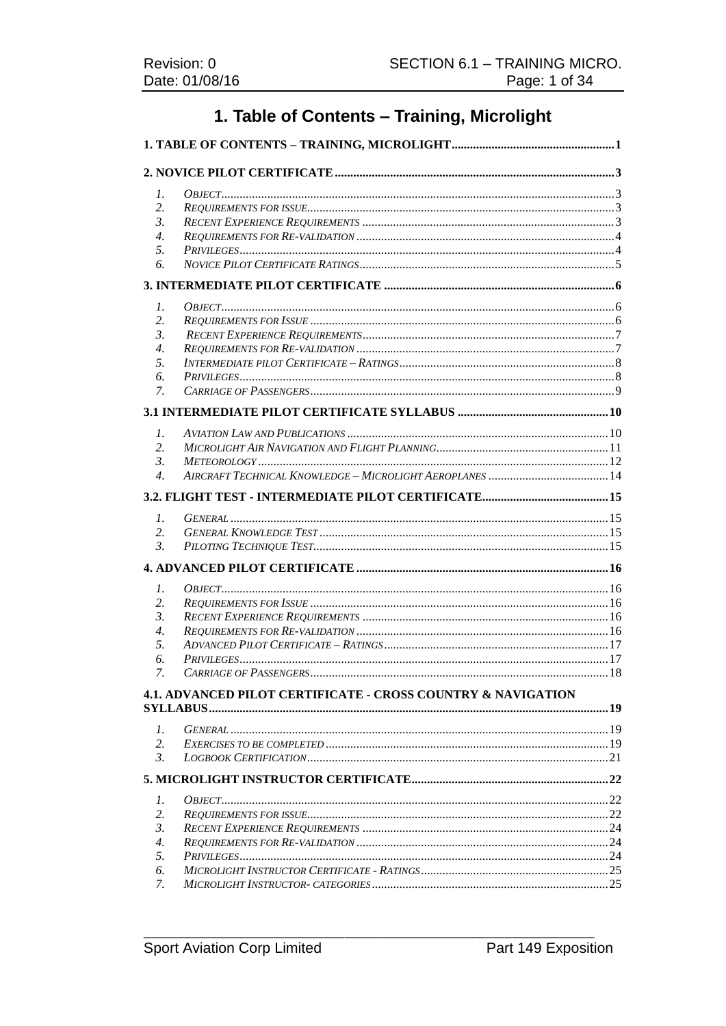# 1. Table of Contents - Training, Microlight

| 1.               |                                                                         |  |  |
|------------------|-------------------------------------------------------------------------|--|--|
| 2.               |                                                                         |  |  |
| 3.               |                                                                         |  |  |
| 4.               |                                                                         |  |  |
| 5.               |                                                                         |  |  |
| 6.               |                                                                         |  |  |
|                  |                                                                         |  |  |
| 1.               |                                                                         |  |  |
| 2.               |                                                                         |  |  |
| 3.               |                                                                         |  |  |
| $\overline{4}$ . |                                                                         |  |  |
| 5.               |                                                                         |  |  |
| 6.               |                                                                         |  |  |
| 7.               |                                                                         |  |  |
|                  |                                                                         |  |  |
| 1.               |                                                                         |  |  |
| 2.               |                                                                         |  |  |
| 3.               |                                                                         |  |  |
| 4.               |                                                                         |  |  |
|                  |                                                                         |  |  |
| 1.               |                                                                         |  |  |
| 2.               |                                                                         |  |  |
| $\mathfrak{Z}$ . |                                                                         |  |  |
|                  |                                                                         |  |  |
| $\mathcal{I}$ .  |                                                                         |  |  |
| 2.               |                                                                         |  |  |
| 3.               |                                                                         |  |  |
| 4.               |                                                                         |  |  |
| 5.               |                                                                         |  |  |
| 6.               |                                                                         |  |  |
| 7.               |                                                                         |  |  |
|                  | <b>4.1. ADVANCED PILOT CERTIFICATE - CROSS COUNTRY &amp; NAVIGATION</b> |  |  |
|                  |                                                                         |  |  |
| $\mathcal{I}$ .  |                                                                         |  |  |
| 2.               |                                                                         |  |  |
| $\mathfrak{Z}$ . |                                                                         |  |  |
|                  |                                                                         |  |  |
|                  |                                                                         |  |  |
| 1.               |                                                                         |  |  |
| 2.               |                                                                         |  |  |
| 3.               |                                                                         |  |  |
| 4.               |                                                                         |  |  |
| 5.               |                                                                         |  |  |
| 6.<br>7.         |                                                                         |  |  |
|                  |                                                                         |  |  |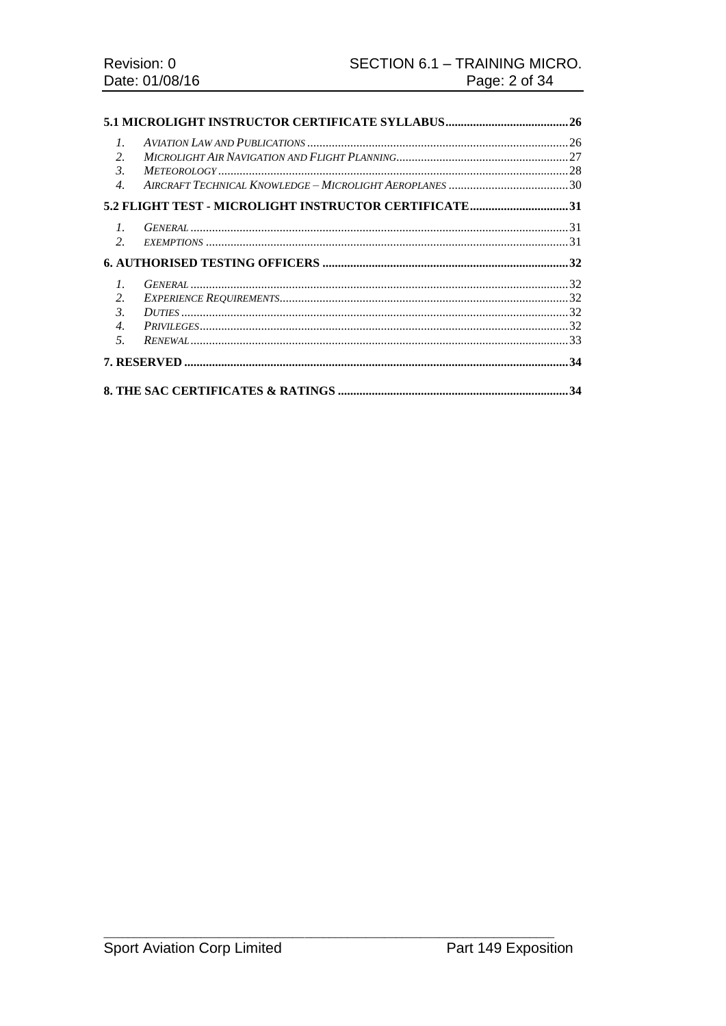| $\mathcal{I}$ .<br>$\mathcal{L}$<br>$\mathcal{E}$ |                                                       |  |
|---------------------------------------------------|-------------------------------------------------------|--|
| $\overline{4}$ .                                  |                                                       |  |
|                                                   | 5.2 FLIGHT TEST - MICROLIGHT INSTRUCTOR CERTIFICATE31 |  |
| $l_{\cdot}$<br>2.                                 |                                                       |  |
|                                                   |                                                       |  |
| $\mathcal{I}$ .                                   |                                                       |  |
| 2.                                                |                                                       |  |
| $\mathfrak{Z}$ .                                  |                                                       |  |
| $\overline{4}$ .                                  |                                                       |  |
| 5 <sub>1</sub>                                    |                                                       |  |
|                                                   |                                                       |  |
|                                                   |                                                       |  |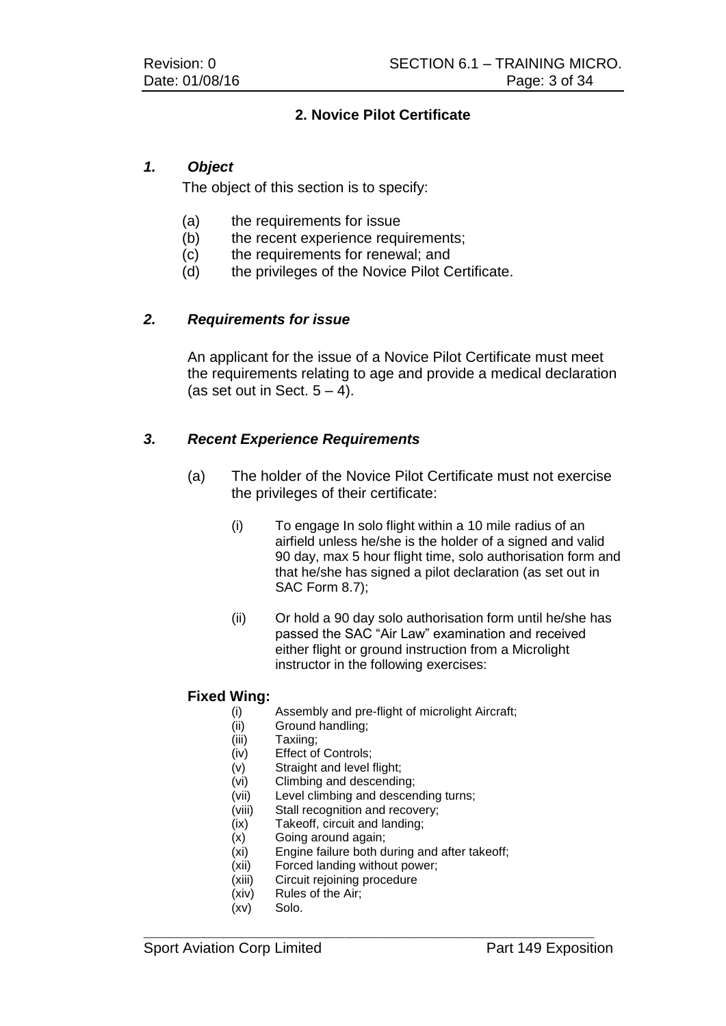# **2. Novice Pilot Certificate**

# *1. Object*

The object of this section is to specify:

- (a) the requirements for issue
- (b) the recent experience requirements;
- (c) the requirements for renewal; and
- (d) the privileges of the Novice Pilot Certificate.

# *2. Requirements for issue*

An applicant for the issue of a Novice Pilot Certificate must meet the requirements relating to age and provide a medical declaration (as set out in Sect.  $5 - 4$ ).

# *3. Recent Experience Requirements*

- (a) The holder of the Novice Pilot Certificate must not exercise the privileges of their certificate:
	- (i) To engage In solo flight within a 10 mile radius of an airfield unless he/she is the holder of a signed and valid 90 day, max 5 hour flight time, solo authorisation form and that he/she has signed a pilot declaration (as set out in SAC Form 8.7);
	- (ii) Or hold a 90 day solo authorisation form until he/she has passed the SAC "Air Law" examination and received either flight or ground instruction from a Microlight instructor in the following exercises:

#### **Fixed Wing:**

- (i) Assembly and pre-flight of microlight Aircraft;
- (ii) Ground handling;
- (iii) Taxiing;<br>(iv) Effect of
- Effect of Controls;
- (v) Straight and level flight;
- (vi) Climbing and descending;
- (vii) Level climbing and descending turns;
- (viii) Stall recognition and recovery;
- (ix) Takeoff, circuit and landing;
- (x) Going around again;
- (xi) Engine failure both during and after takeoff;
- (xii) Forced landing without power;
- (xiii) Circuit rejoining procedure
- (xiv) Rules of the Air;
- (xv) Solo.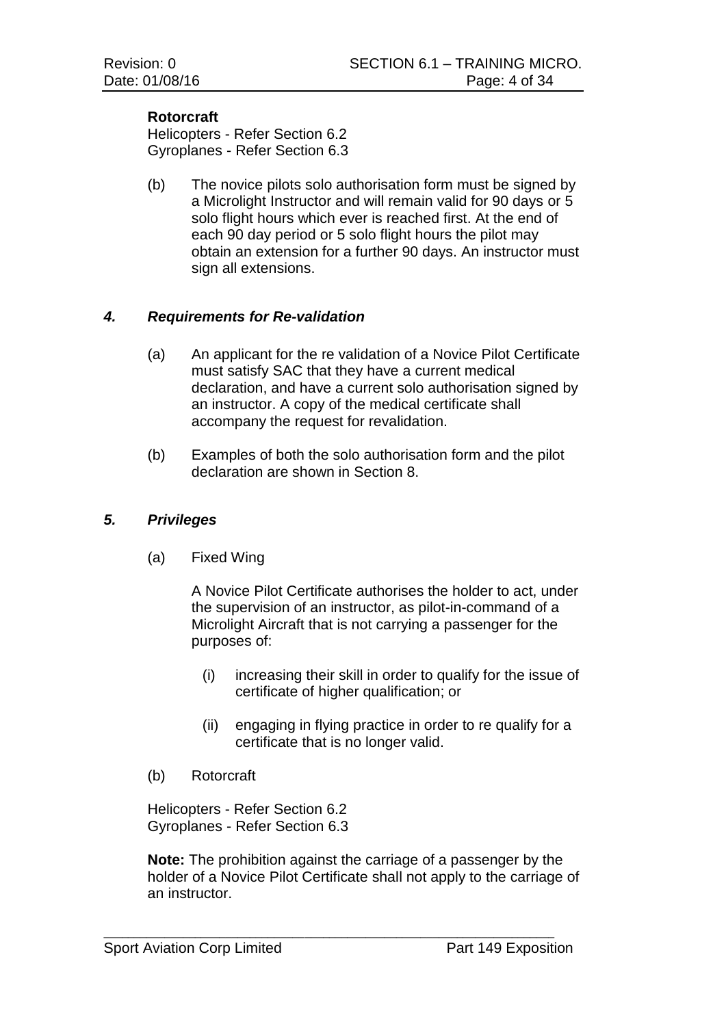#### **Rotorcraft**

Helicopters - Refer Section 6.2 Gyroplanes - Refer Section 6.3

(b) The novice pilots solo authorisation form must be signed by a Microlight Instructor and will remain valid for 90 days or 5 solo flight hours which ever is reached first. At the end of each 90 day period or 5 solo flight hours the pilot may obtain an extension for a further 90 days. An instructor must sign all extensions.

# *4. Requirements for Re-validation*

- (a) An applicant for the re validation of a Novice Pilot Certificate must satisfy SAC that they have a current medical declaration, and have a current solo authorisation signed by an instructor. A copy of the medical certificate shall accompany the request for revalidation.
- (b) Examples of both the solo authorisation form and the pilot declaration are shown in Section 8.

#### *5. Privileges*

(a) Fixed Wing

A Novice Pilot Certificate authorises the holder to act, under the supervision of an instructor, as pilot-in-command of a Microlight Aircraft that is not carrying a passenger for the purposes of:

- (i) increasing their skill in order to qualify for the issue of certificate of higher qualification; or
- (ii) engaging in flying practice in order to re qualify for a certificate that is no longer valid.
- (b) Rotorcraft

Helicopters - Refer Section 6.2 Gyroplanes - Refer Section 6.3

**Note:** The prohibition against the carriage of a passenger by the holder of a Novice Pilot Certificate shall not apply to the carriage of an instructor.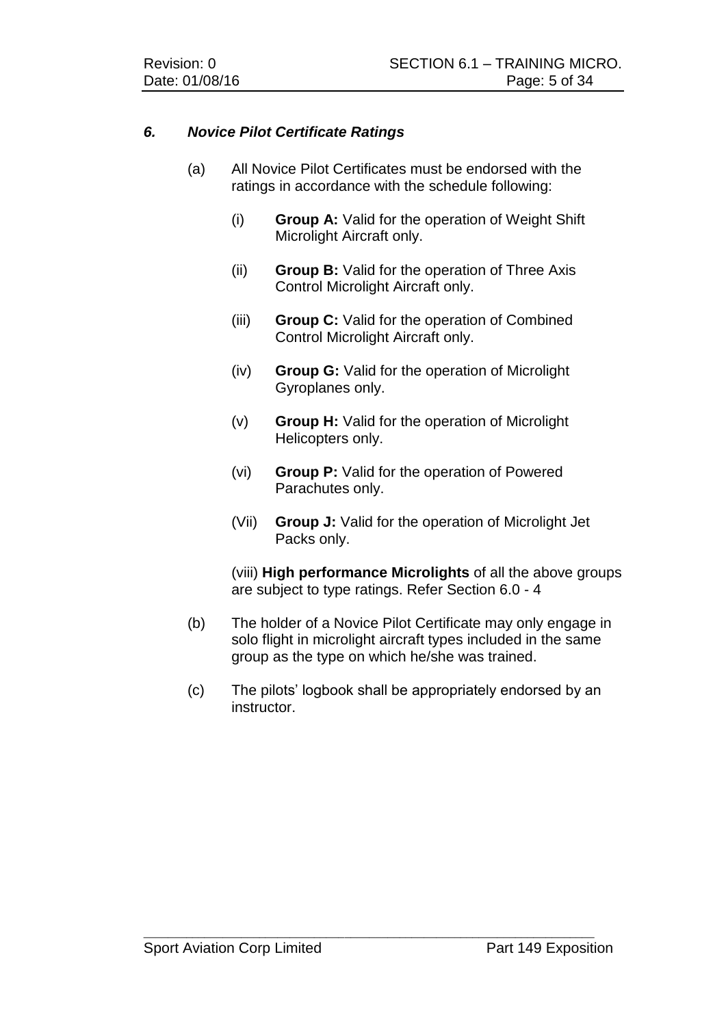# *6. Novice Pilot Certificate Ratings*

- (a) All Novice Pilot Certificates must be endorsed with the ratings in accordance with the schedule following:
	- (i) **Group A:** Valid for the operation of Weight Shift Microlight Aircraft only.
	- (ii) **Group B:** Valid for the operation of Three Axis Control Microlight Aircraft only.
	- (iii) **Group C:** Valid for the operation of Combined Control Microlight Aircraft only.
	- (iv) **Group G:** Valid for the operation of Microlight Gyroplanes only.
	- (v) **Group H:** Valid for the operation of Microlight Helicopters only.
	- (vi) **Group P:** Valid for the operation of Powered Parachutes only.
	- (Vii) **Group J:** Valid for the operation of Microlight Jet Packs only.

(viii) **High performance Microlights** of all the above groups are subject to type ratings. Refer Section 6.0 - 4

- (b) The holder of a Novice Pilot Certificate may only engage in solo flight in microlight aircraft types included in the same group as the type on which he/she was trained.
- (c) The pilots' logbook shall be appropriately endorsed by an instructor.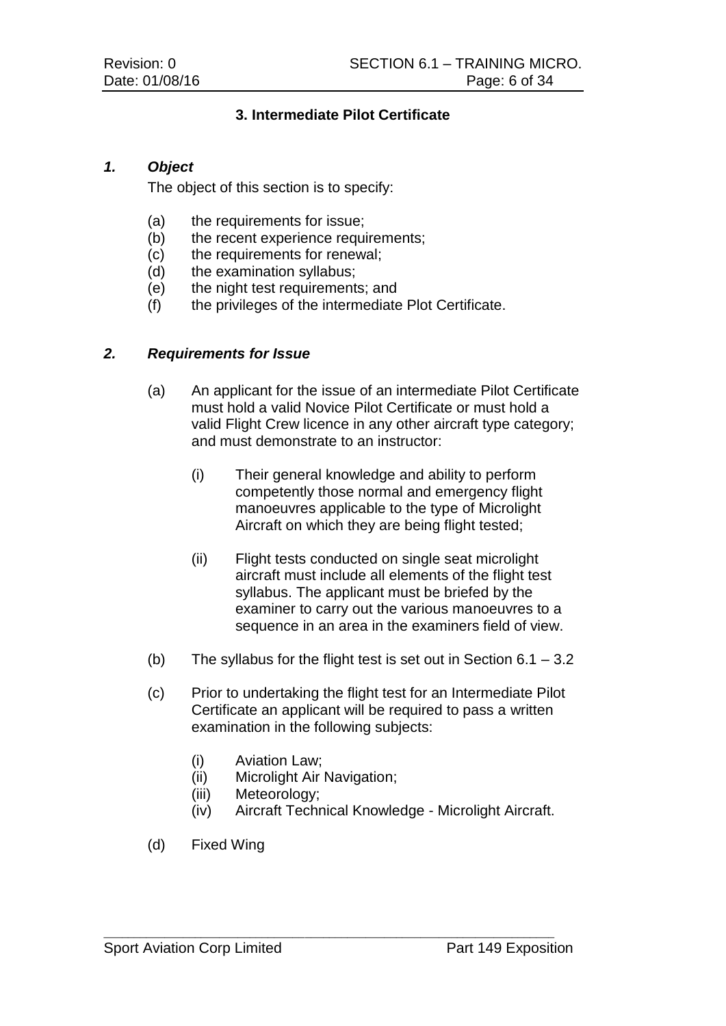# **3. Intermediate Pilot Certificate**

# *1. Object*

The object of this section is to specify:

- (a) the requirements for issue;
- (b) the recent experience requirements;
- (c) the requirements for renewal;
- (d) the examination syllabus;
- (e) the night test requirements; and
- (f) the privileges of the intermediate Plot Certificate.

# *2. Requirements for Issue*

- (a) An applicant for the issue of an intermediate Pilot Certificate must hold a valid Novice Pilot Certificate or must hold a valid Flight Crew licence in any other aircraft type category; and must demonstrate to an instructor:
	- (i) Their general knowledge and ability to perform competently those normal and emergency flight manoeuvres applicable to the type of Microlight Aircraft on which they are being flight tested;
	- (ii) Flight tests conducted on single seat microlight aircraft must include all elements of the flight test syllabus. The applicant must be briefed by the examiner to carry out the various manoeuvres to a sequence in an area in the examiners field of view.
- (b) The syllabus for the flight test is set out in Section  $6.1 3.2$
- (c) Prior to undertaking the flight test for an Intermediate Pilot Certificate an applicant will be required to pass a written examination in the following subjects:
	- (i) Aviation Law;
	- (ii) Microlight Air Navigation;

- (iii) Meteorology;
- (iv) Aircraft Technical Knowledge Microlight Aircraft.
- (d) Fixed Wing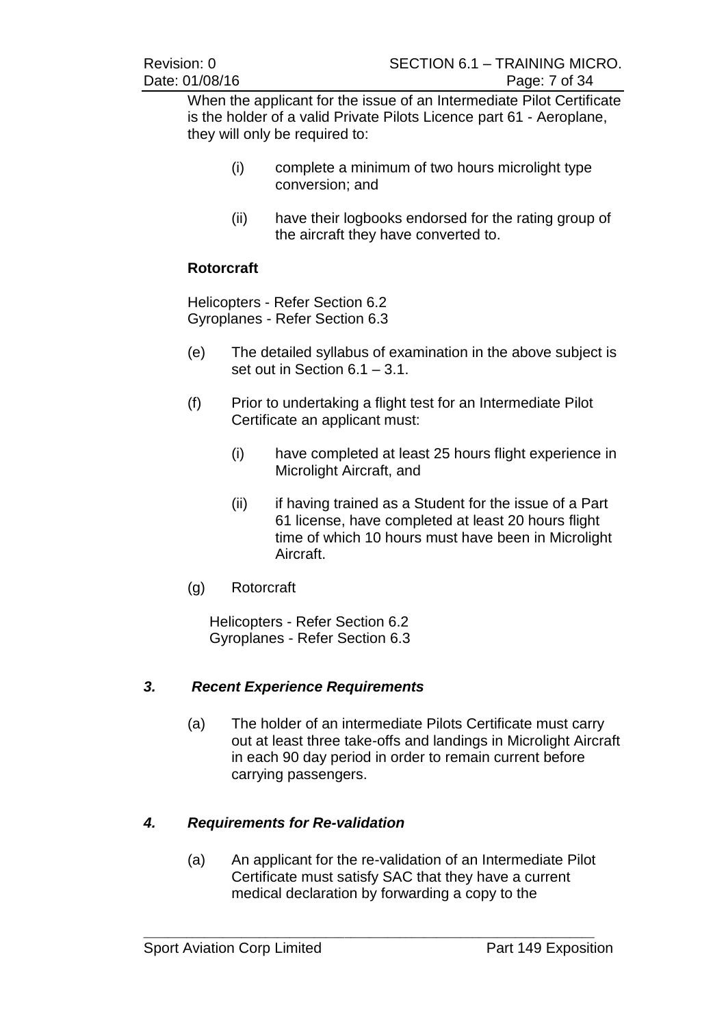When the applicant for the issue of an Intermediate Pilot Certificate is the holder of a valid Private Pilots Licence part 61 - Aeroplane, they will only be required to:

- (i) complete a minimum of two hours microlight type conversion; and
- (ii) have their logbooks endorsed for the rating group of the aircraft they have converted to.

# **Rotorcraft**

Helicopters - Refer Section 6.2 Gyroplanes - Refer Section 6.3

- (e) The detailed syllabus of examination in the above subject is set out in Section 6.1 – 3.1.
- (f) Prior to undertaking a flight test for an Intermediate Pilot Certificate an applicant must:
	- (i) have completed at least 25 hours flight experience in Microlight Aircraft, and
	- (ii) if having trained as a Student for the issue of a Part 61 license, have completed at least 20 hours flight time of which 10 hours must have been in Microlight Aircraft.
- (g) Rotorcraft

Helicopters - Refer Section 6.2 Gyroplanes - Refer Section 6.3

# *3. Recent Experience Requirements*

(a) The holder of an intermediate Pilots Certificate must carry out at least three take-offs and landings in Microlight Aircraft in each 90 day period in order to remain current before carrying passengers.

# *4. Requirements for Re-validation*

(a) An applicant for the re-validation of an Intermediate Pilot Certificate must satisfy SAC that they have a current medical declaration by forwarding a copy to the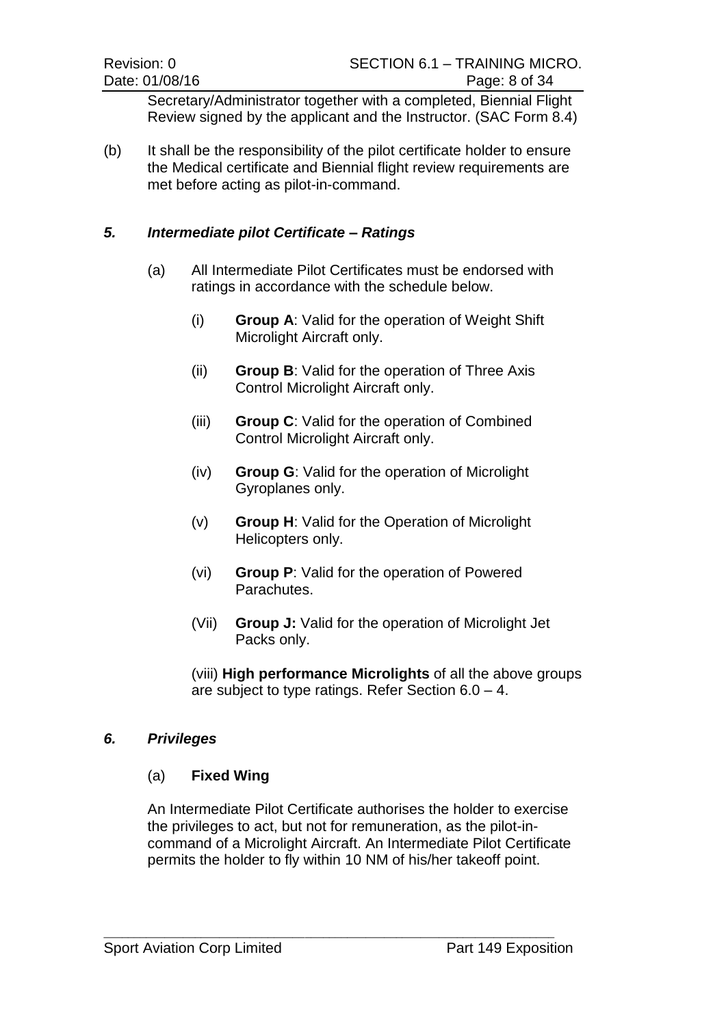Secretary/Administrator together with a completed, Biennial Flight Review signed by the applicant and the Instructor. (SAC Form 8.4)

(b) It shall be the responsibility of the pilot certificate holder to ensure the Medical certificate and Biennial flight review requirements are met before acting as pilot-in-command.

# *5. Intermediate pilot Certificate – Ratings*

- (a) All Intermediate Pilot Certificates must be endorsed with ratings in accordance with the schedule below.
	- (i) **Group A**: Valid for the operation of Weight Shift Microlight Aircraft only.
	- (ii) **Group B**: Valid for the operation of Three Axis Control Microlight Aircraft only.
	- (iii) **Group C**: Valid for the operation of Combined Control Microlight Aircraft only.
	- (iv) **Group G**: Valid for the operation of Microlight Gyroplanes only.
	- (v) **Group H**: Valid for the Operation of Microlight Helicopters only.
	- (vi) **Group P**: Valid for the operation of Powered Parachutes.
	- (Vii) **Group J:** Valid for the operation of Microlight Jet Packs only.

(viii) **High performance Microlights** of all the above groups are subject to type ratings. Refer Section 6.0 – 4.

#### *6. Privileges*

#### (a) **Fixed Wing**

An Intermediate Pilot Certificate authorises the holder to exercise the privileges to act, but not for remuneration, as the pilot-incommand of a Microlight Aircraft. An Intermediate Pilot Certificate permits the holder to fly within 10 NM of his/her takeoff point.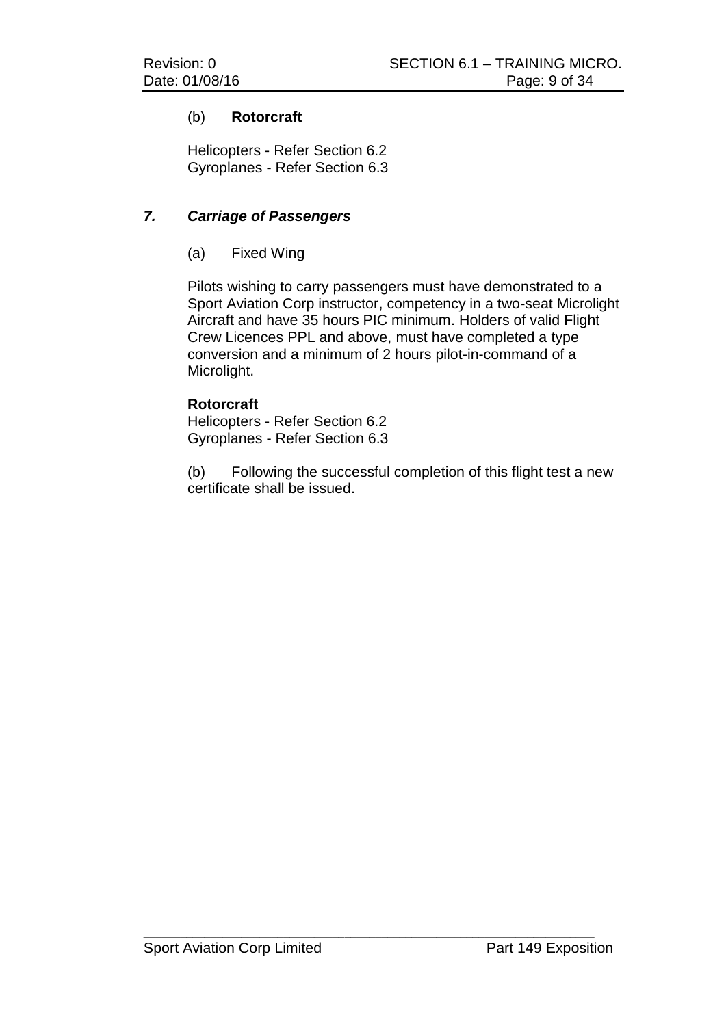# (b) **Rotorcraft**

Helicopters - Refer Section 6.2 Gyroplanes - Refer Section 6.3

# *7. Carriage of Passengers*

# (a) Fixed Wing

Pilots wishing to carry passengers must have demonstrated to a Sport Aviation Corp instructor, competency in a two-seat Microlight Aircraft and have 35 hours PIC minimum. Holders of valid Flight Crew Licences PPL and above, must have completed a type conversion and a minimum of 2 hours pilot-in-command of a Microlight.

# **Rotorcraft**

Helicopters - Refer Section 6.2 Gyroplanes - Refer Section 6.3

(b) Following the successful completion of this flight test a new certificate shall be issued.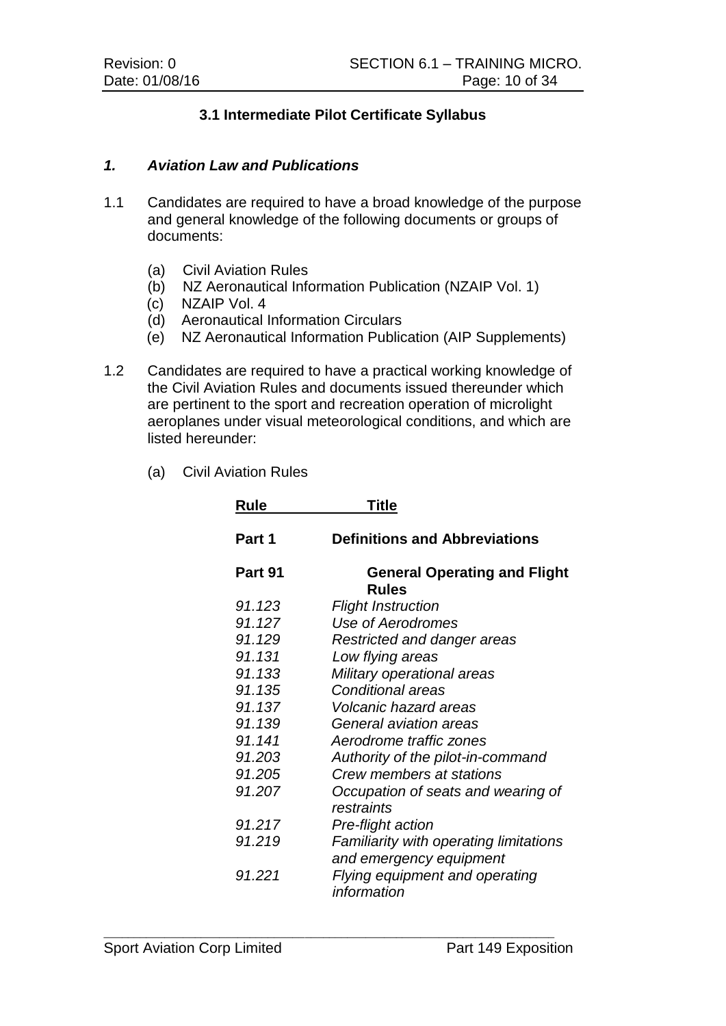# **3.1 Intermediate Pilot Certificate Syllabus**

#### *1. Aviation Law and Publications*

- 1.1 Candidates are required to have a broad knowledge of the purpose and general knowledge of the following documents or groups of documents:
	-
	- (a) Civil Aviation Rules<br>(b) NZ Aeronautical Info NZ Aeronautical Information Publication (NZAIP Vol. 1)
	- (c) NZAIP Vol. 4
	- (d) Aeronautical Information Circulars
	- (e) NZ Aeronautical Information Publication (AIP Supplements)
- 1.2 Candidates are required to have a practical working knowledge of the Civil Aviation Rules and documents issued thereunder which are pertinent to the sport and recreation operation of microlight aeroplanes under visual meteorological conditions, and which are listed hereunder:

 $\_$  , and the set of the set of the set of the set of the set of the set of the set of the set of the set of the set of the set of the set of the set of the set of the set of the set of the set of the set of the set of th

(a) Civil Aviation Rules

| Rule    | Title                                                             |
|---------|-------------------------------------------------------------------|
| Part 1  | <b>Definitions and Abbreviations</b>                              |
| Part 91 | <b>General Operating and Flight</b><br><b>Rules</b>               |
| 91.123  | <b>Flight Instruction</b>                                         |
| 91.127  | Use of Aerodromes                                                 |
| 91.129  | Restricted and danger areas                                       |
| 91.131  | Low flying areas                                                  |
| 91.133  | Military operational areas                                        |
| 91.135  | <b>Conditional areas</b>                                          |
| 91.137  | <b>Volcanic hazard areas</b>                                      |
| 91.139  | General aviation areas                                            |
| 91.141  | Aerodrome traffic zones                                           |
| 91.203  | Authority of the pilot-in-command                                 |
| 91.205  | Crew members at stations                                          |
| 91.207  | Occupation of seats and wearing of<br>restraints                  |
| 91.217  | Pre-flight action                                                 |
| 91.219  | Familiarity with operating limitations<br>and emergency equipment |
| 91.221  | Flying equipment and operating<br>information                     |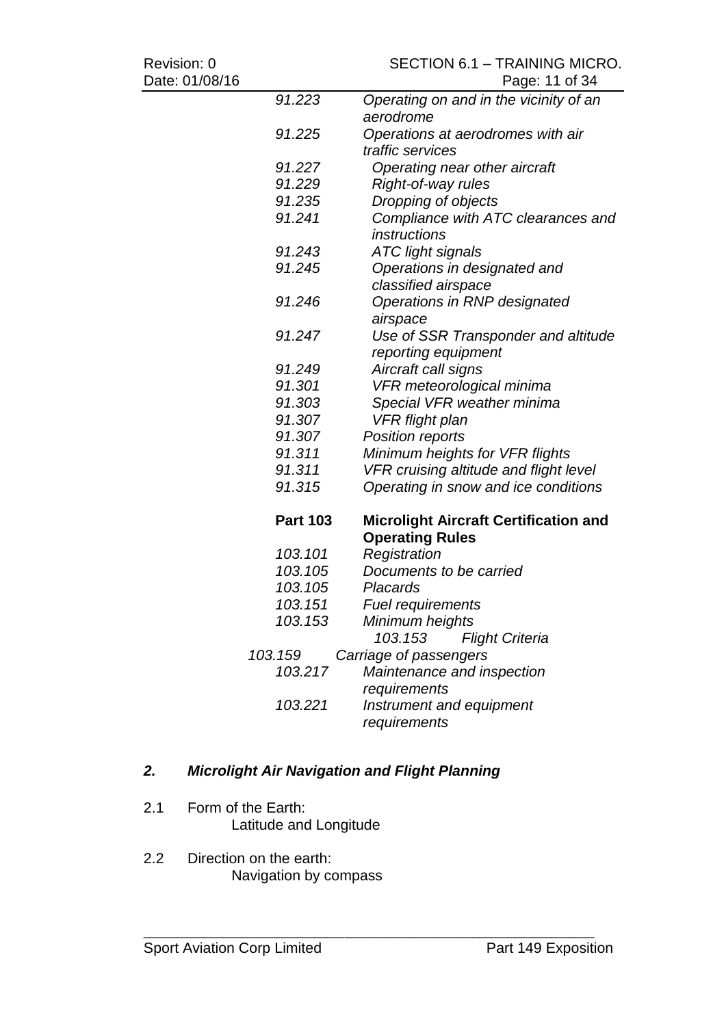Date: 01/08/16

# Revision: 0<br>
SECTION 6.1 – TRAINING MICRO.<br>
Page: 11 of 34

| . ט ו <i>ו</i> סט/ו ט |                 | Paye. TT UI 04                               |
|-----------------------|-----------------|----------------------------------------------|
|                       | 91.223          | Operating on and in the vicinity of an       |
|                       |                 | aerodrome                                    |
|                       | 91.225          | Operations at aerodromes with air            |
|                       |                 | traffic services                             |
|                       | 91.227          | Operating near other aircraft                |
|                       | 91.229          | Right-of-way rules                           |
|                       | 91.235          | Dropping of objects                          |
|                       | 91.241          | Compliance with ATC clearances and           |
|                       |                 | instructions                                 |
|                       | 91.243          | <b>ATC light signals</b>                     |
|                       | 91.245          | Operations in designated and                 |
|                       |                 | classified airspace                          |
|                       | 91.246          | Operations in RNP designated                 |
|                       |                 | airspace                                     |
|                       | 91.247          | Use of SSR Transponder and altitude          |
|                       |                 | reporting equipment                          |
|                       | 91.249          | Aircraft call signs                          |
|                       | 91.301          | VFR meteorological minima                    |
|                       | 91.303          | Special VFR weather minima                   |
|                       | 91.307          | <b>VFR</b> flight plan                       |
|                       | 91.307          | <b>Position reports</b>                      |
|                       | 91.311          | Minimum heights for VFR flights              |
|                       | 91.311          | VFR cruising altitude and flight level       |
|                       | 91.315          | Operating in snow and ice conditions         |
|                       | <b>Part 103</b> | <b>Microlight Aircraft Certification and</b> |
|                       |                 | <b>Operating Rules</b>                       |
|                       | 103.101         | Registration                                 |
|                       | 103.105         | Documents to be carried                      |
|                       | 103.105         | <b>Placards</b>                              |
|                       | 103.151         | <b>Fuel requirements</b>                     |
|                       | 103.153         | Minimum heights                              |
|                       |                 | <b>Flight Criteria</b><br>103.153            |
|                       | 103.159         | Carriage of passengers                       |
|                       | 103.217         | Maintenance and inspection                   |
|                       |                 | requirements                                 |
|                       | 103.221         | Instrument and equipment                     |
|                       |                 | requirements                                 |
|                       |                 |                                              |

# *2. Microlight Air Navigation and Flight Planning*

- 2.1 Form of the Earth: Latitude and Longitude
- 2.2 Direction on the earth: Navigation by compass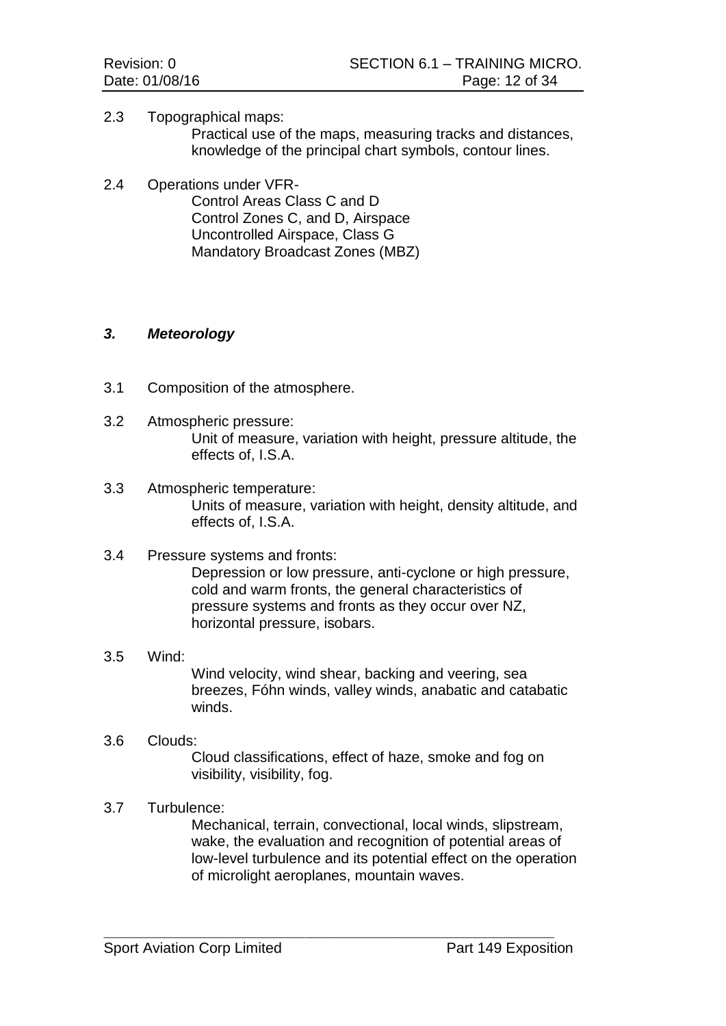2.3 Topographical maps:

Practical use of the maps, measuring tracks and distances, knowledge of the principal chart symbols, contour lines.

2.4 Operations under VFR-Control Areas Class C and D Control Zones C, and D, Airspace

Uncontrolled Airspace, Class G Mandatory Broadcast Zones (MBZ)

# *3. Meteorology*

- 3.1 Composition of the atmosphere.
- 3.2 Atmospheric pressure: Unit of measure, variation with height, pressure altitude, the effects of, I.S.A.
- 3.3 Atmospheric temperature: Units of measure, variation with height, density altitude, and effects of, I.S.A.

# 3.4 Pressure systems and fronts:

Depression or low pressure, anti-cyclone or high pressure, cold and warm fronts, the general characteristics of pressure systems and fronts as they occur over NZ, horizontal pressure, isobars.

3.5 Wind:

Wind velocity, wind shear, backing and veering, sea breezes, Fóhn winds, valley winds, anabatic and catabatic winds.

3.6 Clouds:

Cloud classifications, effect of haze, smoke and fog on visibility, visibility, fog.

# 3.7 Turbulence:

Mechanical, terrain, convectional, local winds, slipstream, wake, the evaluation and recognition of potential areas of low-level turbulence and its potential effect on the operation of microlight aeroplanes, mountain waves.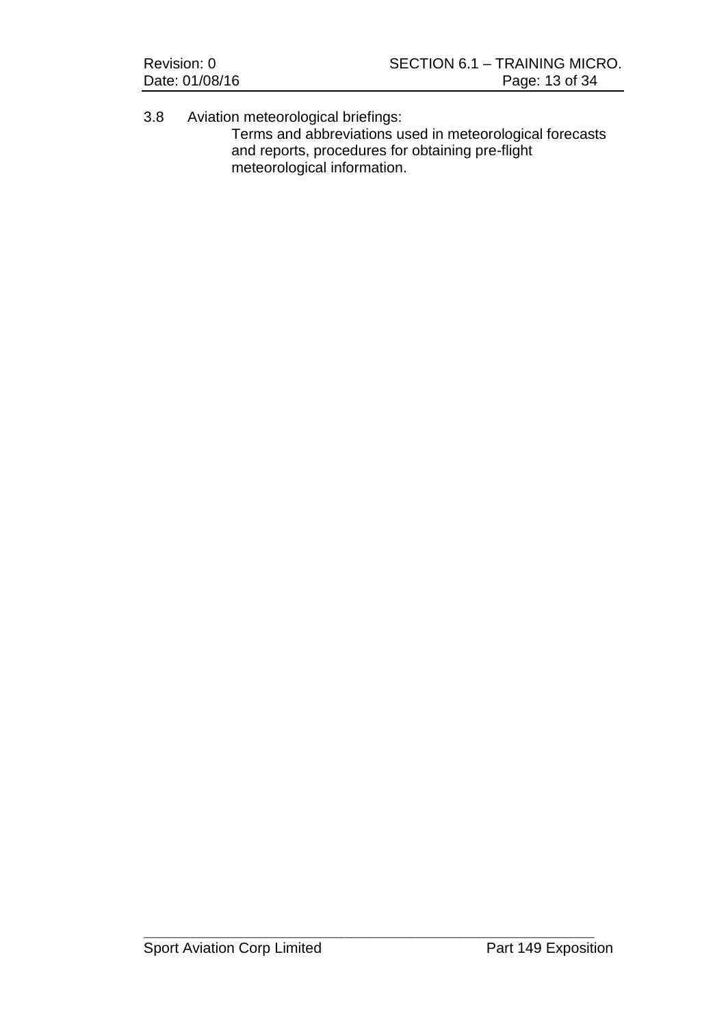| Revision: 0    | SECTION 6.1 - TRAINING MICRO. |
|----------------|-------------------------------|
| Date: 01/08/16 | Page: 13 of 34                |

3.8 Aviation meteorological briefings: Terms and abbreviations used in meteorological forecasts and reports, procedures for obtaining pre-flight meteorological information.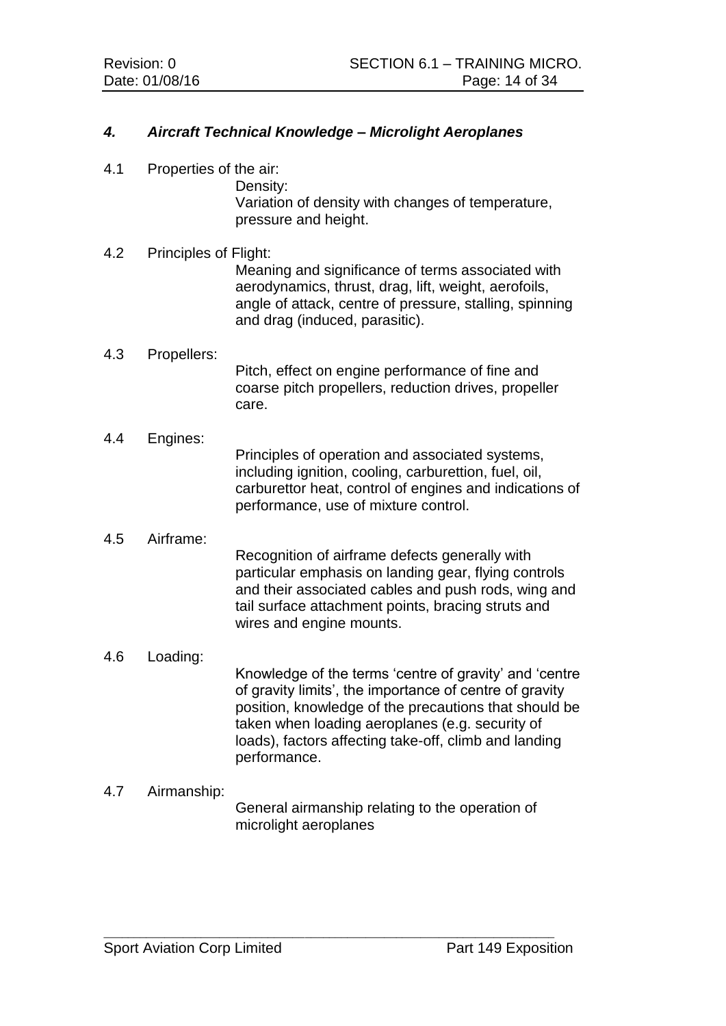# *4. Aircraft Technical Knowledge – Microlight Aeroplanes*

4.1 Properties of the air:

Density: Variation of density with changes of temperature, pressure and height.

#### 4.2 Principles of Flight:

Meaning and significance of terms associated with aerodynamics, thrust, drag, lift, weight, aerofoils, angle of attack, centre of pressure, stalling, spinning and drag (induced, parasitic).

#### 4.3 Propellers:

Pitch, effect on engine performance of fine and coarse pitch propellers, reduction drives, propeller care.

#### 4.4 Engines:

Principles of operation and associated systems, including ignition, cooling, carburettion, fuel, oil, carburettor heat, control of engines and indications of performance, use of mixture control.

#### 4.5 Airframe:

Recognition of airframe defects generally with particular emphasis on landing gear, flying controls and their associated cables and push rods, wing and tail surface attachment points, bracing struts and wires and engine mounts.

4.6 Loading:

Knowledge of the terms 'centre of gravity' and 'centre of gravity limits', the importance of centre of gravity position, knowledge of the precautions that should be taken when loading aeroplanes (e.g. security of loads), factors affecting take-off, climb and landing performance.

#### 4.7 Airmanship:

General airmanship relating to the operation of microlight aeroplanes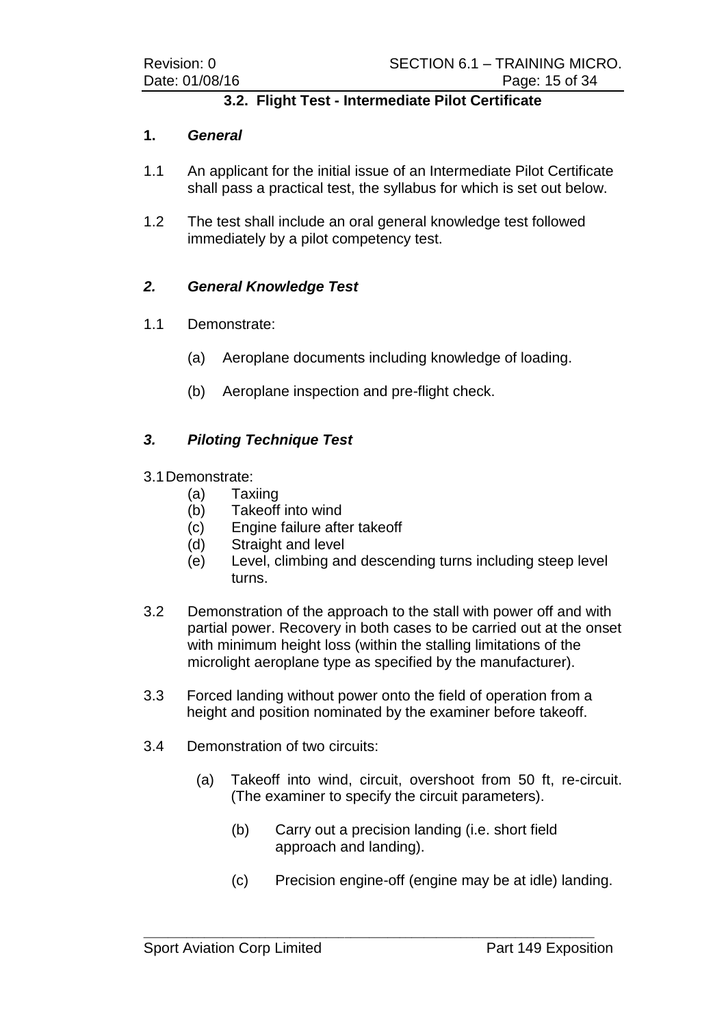# **3.2. Flight Test - Intermediate Pilot Certificate**

#### **1.** *General*

- 1.1 An applicant for the initial issue of an Intermediate Pilot Certificate shall pass a practical test, the syllabus for which is set out below.
- 1.2 The test shall include an oral general knowledge test followed immediately by a pilot competency test.

# *2. General Knowledge Test*

- 1.1 Demonstrate:
	- (a) Aeroplane documents including knowledge of loading.
	- (b) Aeroplane inspection and pre-flight check.

# *3. Piloting Technique Test*

- 3.1Demonstrate:
	- (a) Taxiing
	- (b) Takeoff into wind
	- (c) Engine failure after takeoff
	- (d) Straight and level
	- (e) Level, climbing and descending turns including steep level turns.
- 3.2 Demonstration of the approach to the stall with power off and with partial power. Recovery in both cases to be carried out at the onset with minimum height loss (within the stalling limitations of the microlight aeroplane type as specified by the manufacturer).
- 3.3 Forced landing without power onto the field of operation from a height and position nominated by the examiner before takeoff.
- 3.4 Demonstration of two circuits:
	- (a) Takeoff into wind, circuit, overshoot from 50 ft, re-circuit. (The examiner to specify the circuit parameters).
		- (b) Carry out a precision landing (i.e. short field approach and landing).
		- (c) Precision engine-off (engine may be at idle) landing.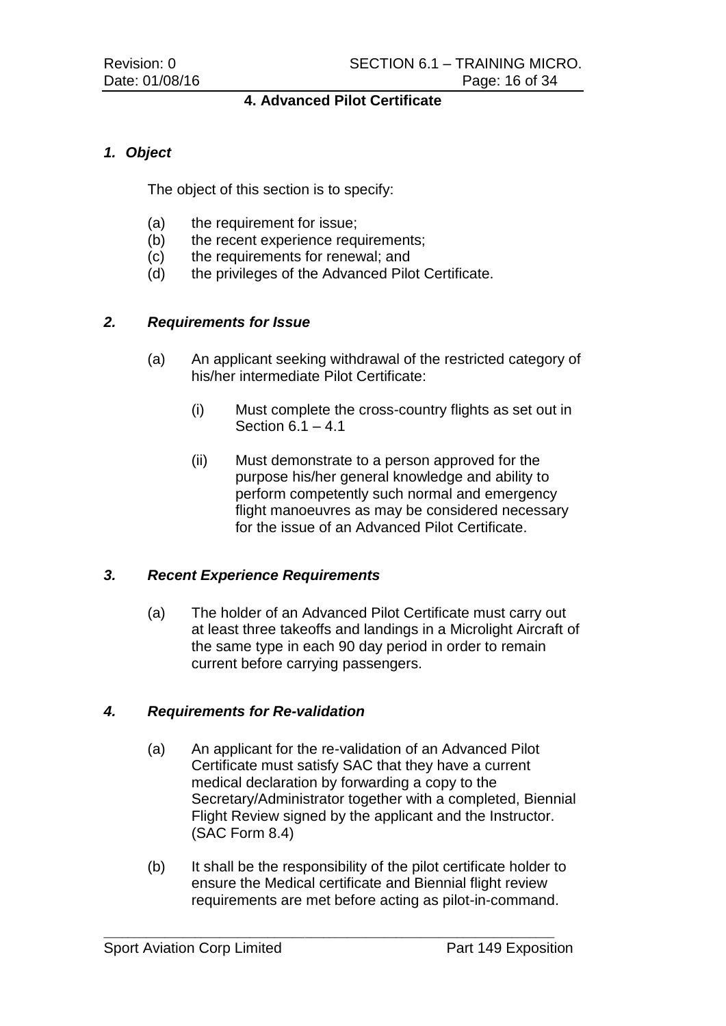# **4. Advanced Pilot Certificate**

# *1. Object*

The object of this section is to specify:

- (a) the requirement for issue;
- (b) the recent experience requirements;
- (c) the requirements for renewal; and
- (d) the privileges of the Advanced Pilot Certificate.

# *2. Requirements for Issue*

- (a) An applicant seeking withdrawal of the restricted category of his/her intermediate Pilot Certificate:
	- (i) Must complete the cross-country flights as set out in Section  $6.1 - 4.1$
	- (ii) Must demonstrate to a person approved for the purpose his/her general knowledge and ability to perform competently such normal and emergency flight manoeuvres as may be considered necessary for the issue of an Advanced Pilot Certificate.

#### *3. Recent Experience Requirements*

(a) The holder of an Advanced Pilot Certificate must carry out at least three takeoffs and landings in a Microlight Aircraft of the same type in each 90 day period in order to remain current before carrying passengers.

#### *4. Requirements for Re-validation*

- (a) An applicant for the re-validation of an Advanced Pilot Certificate must satisfy SAC that they have a current medical declaration by forwarding a copy to the Secretary/Administrator together with a completed, Biennial Flight Review signed by the applicant and the Instructor. (SAC Form 8.4)
- (b) It shall be the responsibility of the pilot certificate holder to ensure the Medical certificate and Biennial flight review requirements are met before acting as pilot-in-command.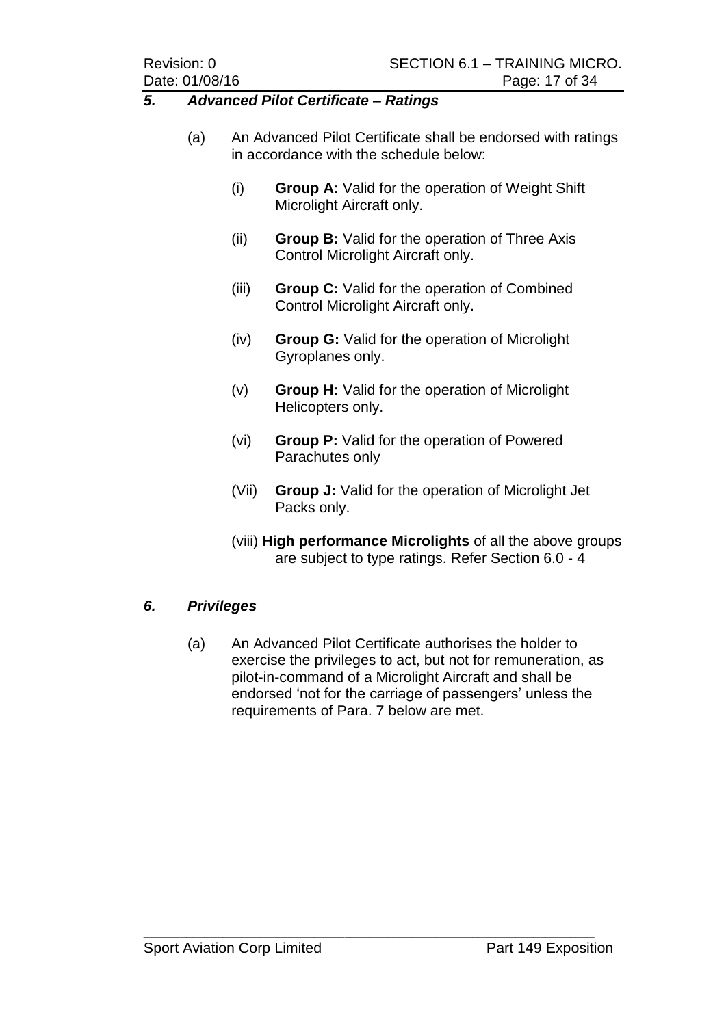#### *5. Advanced Pilot Certificate – Ratings*

- (a) An Advanced Pilot Certificate shall be endorsed with ratings in accordance with the schedule below:
	- (i) **Group A:** Valid for the operation of Weight Shift Microlight Aircraft only.
	- (ii) **Group B:** Valid for the operation of Three Axis Control Microlight Aircraft only.
	- (iii) **Group C:** Valid for the operation of Combined Control Microlight Aircraft only.
	- (iv) **Group G:** Valid for the operation of Microlight Gyroplanes only.
	- (v) **Group H:** Valid for the operation of Microlight Helicopters only.
	- (vi) **Group P:** Valid for the operation of Powered Parachutes only
	- (Vii) **Group J:** Valid for the operation of Microlight Jet Packs only.
	- (viii) **High performance Microlights** of all the above groups are subject to type ratings. Refer Section 6.0 - 4

# *6. Privileges*

(a) An Advanced Pilot Certificate authorises the holder to exercise the privileges to act, but not for remuneration, as pilot-in-command of a Microlight Aircraft and shall be endorsed 'not for the carriage of passengers' unless the requirements of Para. 7 below are met.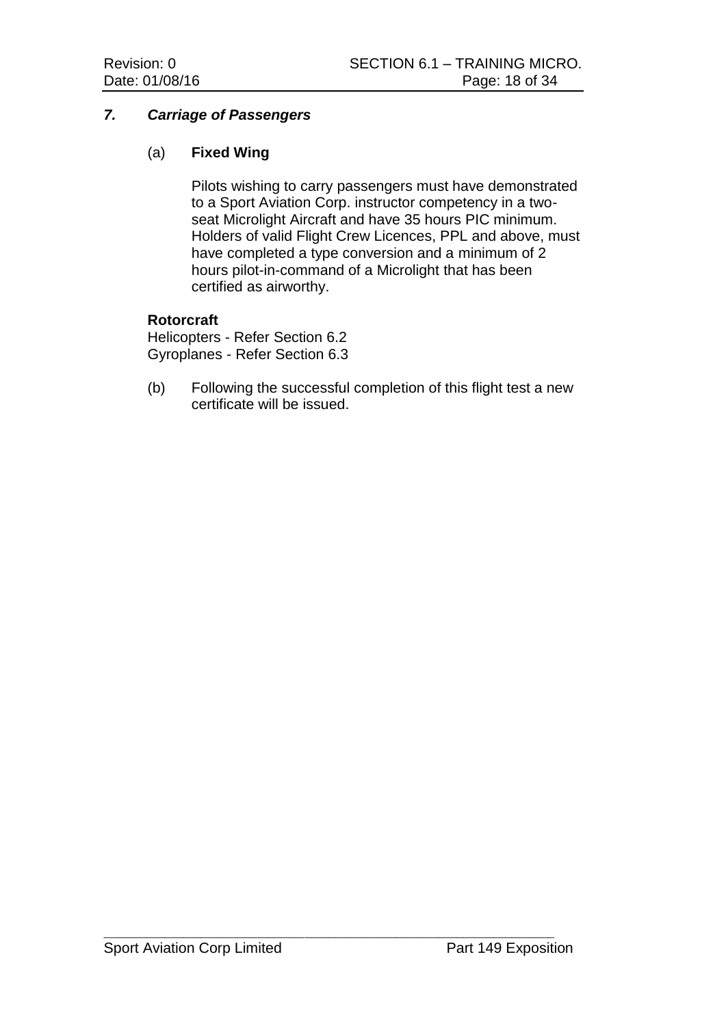# *7. Carriage of Passengers*

# (a) **Fixed Wing**

Pilots wishing to carry passengers must have demonstrated to a Sport Aviation Corp. instructor competency in a twoseat Microlight Aircraft and have 35 hours PIC minimum. Holders of valid Flight Crew Licences, PPL and above, must have completed a type conversion and a minimum of 2 hours pilot-in-command of a Microlight that has been certified as airworthy.

#### **Rotorcraft**

Helicopters - Refer Section 6.2 Gyroplanes - Refer Section 6.3

(b) Following the successful completion of this flight test a new certificate will be issued.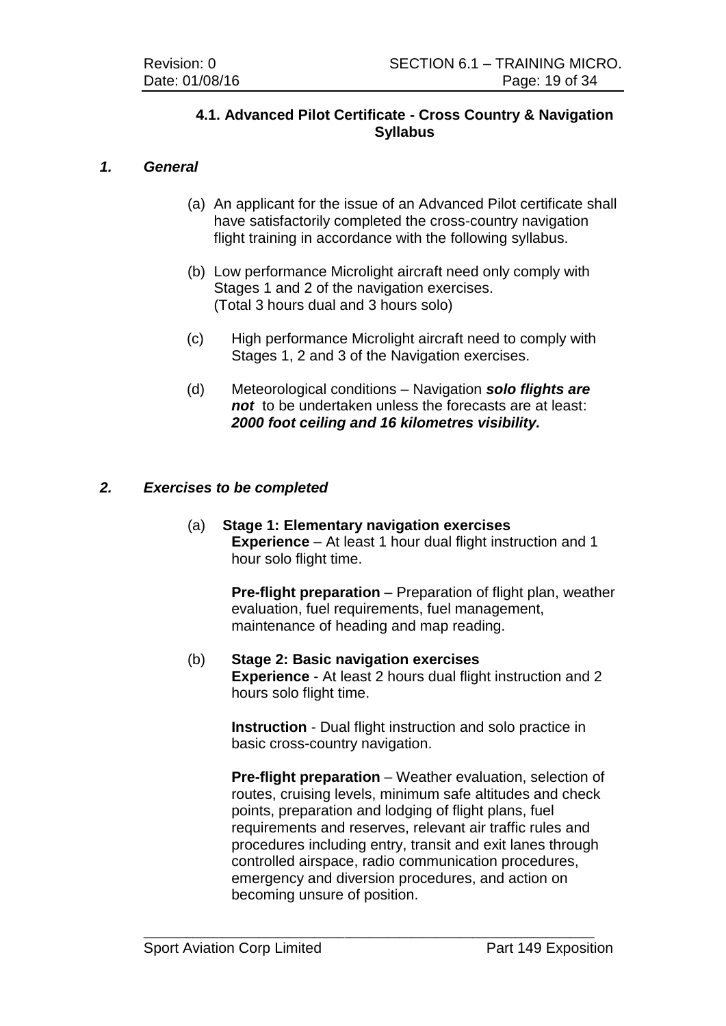# **4.1. Advanced Pilot Certificate - Cross Country & Navigation Syllabus**

# *1. General*

- (a) An applicant for the issue of an Advanced Pilot certificate shall have satisfactorily completed the cross-country navigation flight training in accordance with the following syllabus.
- (b) Low performance Microlight aircraft need only comply with Stages 1 and 2 of the navigation exercises. (Total 3 hours dual and 3 hours solo)
- (c) High performance Microlight aircraft need to comply with Stages 1, 2 and 3 of the Navigation exercises.
- (d) Meteorological conditions Navigation *solo flights are not* to be undertaken unless the forecasts are at least: *2000 foot ceiling and 16 kilometres visibility.*

# *2. Exercises to be completed*

(a) **Stage 1: Elementary navigation exercises Experience** – At least 1 hour dual flight instruction and 1 hour solo flight time.

> **Pre-flight preparation** – Preparation of flight plan, weather evaluation, fuel requirements, fuel management, maintenance of heading and map reading.

(b) **Stage 2: Basic navigation exercises Experience** - At least 2 hours dual flight instruction and 2 hours solo flight time.

> **Instruction** - Dual flight instruction and solo practice in basic cross-country navigation.

**Pre-flight preparation** – Weather evaluation, selection of routes, cruising levels, minimum safe altitudes and check points, preparation and lodging of flight plans, fuel requirements and reserves, relevant air traffic rules and procedures including entry, transit and exit lanes through controlled airspace, radio communication procedures, emergency and diversion procedures, and action on becoming unsure of position.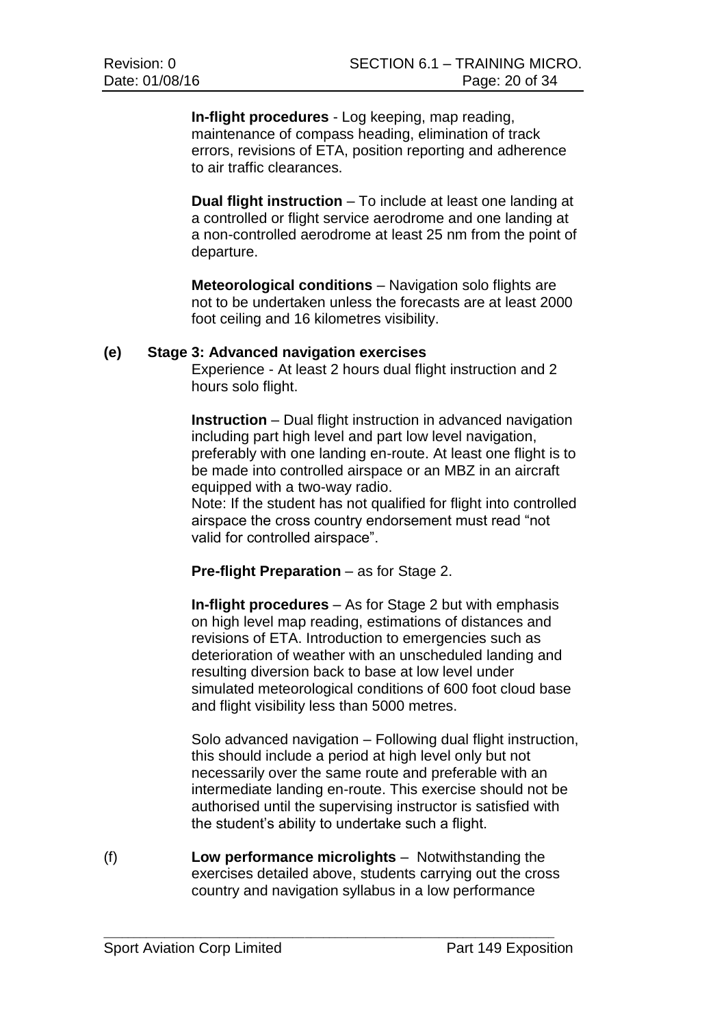**In-flight procedures** - Log keeping, map reading, maintenance of compass heading, elimination of track errors, revisions of ETA, position reporting and adherence to air traffic clearances.

**Dual flight instruction** – To include at least one landing at a controlled or flight service aerodrome and one landing at a non-controlled aerodrome at least 25 nm from the point of departure.

**Meteorological conditions** – Navigation solo flights are not to be undertaken unless the forecasts are at least 2000 foot ceiling and 16 kilometres visibility.

#### **(e) Stage 3: Advanced navigation exercises**

Experience - At least 2 hours dual flight instruction and 2 hours solo flight.

**Instruction** – Dual flight instruction in advanced navigation including part high level and part low level navigation, preferably with one landing en-route. At least one flight is to be made into controlled airspace or an MBZ in an aircraft equipped with a two-way radio.

Note: If the student has not qualified for flight into controlled airspace the cross country endorsement must read "not valid for controlled airspace".

#### **Pre-flight Preparation** – as for Stage 2.

**In-flight procedures** – As for Stage 2 but with emphasis on high level map reading, estimations of distances and revisions of ETA. Introduction to emergencies such as deterioration of weather with an unscheduled landing and resulting diversion back to base at low level under simulated meteorological conditions of 600 foot cloud base and flight visibility less than 5000 metres.

Solo advanced navigation – Following dual flight instruction, this should include a period at high level only but not necessarily over the same route and preferable with an intermediate landing en-route. This exercise should not be authorised until the supervising instructor is satisfied with the student's ability to undertake such a flight.

(f) **Low performance microlights** – Notwithstanding the exercises detailed above, students carrying out the cross country and navigation syllabus in a low performance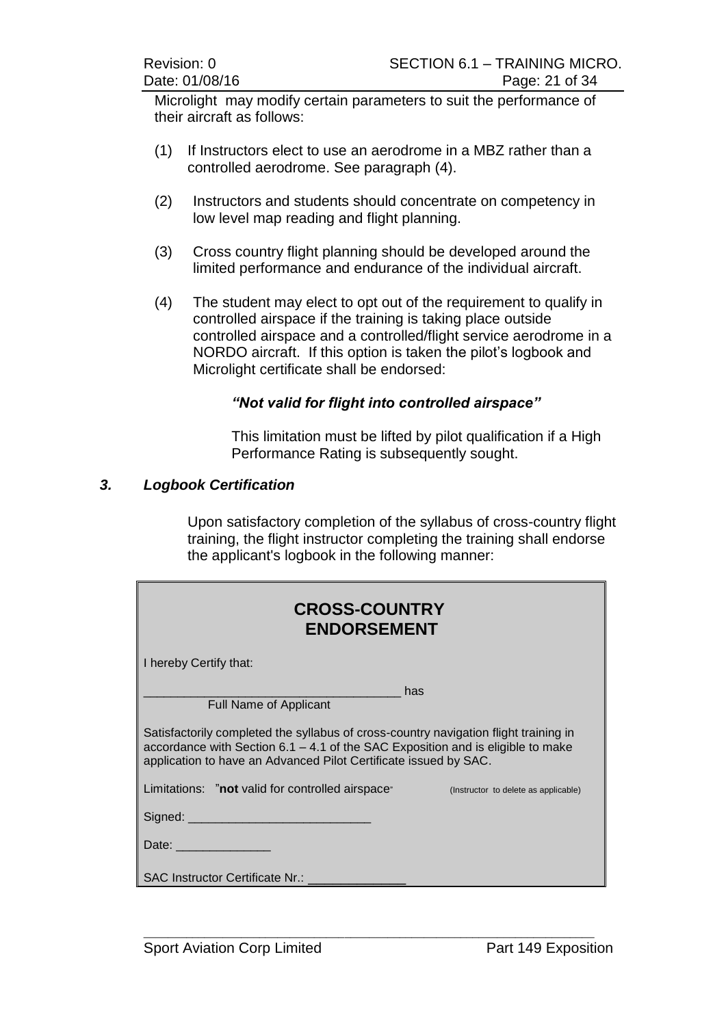Microlight may modify certain parameters to suit the performance of their aircraft as follows:

- (1) If Instructors elect to use an aerodrome in a MBZ rather than a controlled aerodrome. See paragraph (4).
- (2) Instructors and students should concentrate on competency in low level map reading and flight planning.
- (3) Cross country flight planning should be developed around the limited performance and endurance of the individual aircraft.
- (4) The student may elect to opt out of the requirement to qualify in controlled airspace if the training is taking place outside controlled airspace and a controlled/flight service aerodrome in a NORDO aircraft. If this option is taken the pilot's logbook and Microlight certificate shall be endorsed:

# *"Not valid for flight into controlled airspace"*

This limitation must be lifted by pilot qualification if a High Performance Rating is subsequently sought.

#### *3. Logbook Certification*

Upon satisfactory completion of the syllabus of cross-country flight training, the flight instructor completing the training shall endorse the applicant's logbook in the following manner:

| <b>CROSS-COUNTRY</b><br><b>ENDORSEMENT</b>                                                                                                                                                                                                  |                                      |  |  |
|---------------------------------------------------------------------------------------------------------------------------------------------------------------------------------------------------------------------------------------------|--------------------------------------|--|--|
| I hereby Certify that:                                                                                                                                                                                                                      |                                      |  |  |
| <b>Full Name of Applicant</b>                                                                                                                                                                                                               | has                                  |  |  |
| Satisfactorily completed the syllabus of cross-country navigation flight training in<br>accordance with Section 6.1 - 4.1 of the SAC Exposition and is eligible to make<br>application to have an Advanced Pilot Certificate issued by SAC. |                                      |  |  |
| Limitations: "not valid for controlled airspace"                                                                                                                                                                                            | (Instructor to delete as applicable) |  |  |
| Signed: __________________________________                                                                                                                                                                                                  |                                      |  |  |
| Date: ________________                                                                                                                                                                                                                      |                                      |  |  |
| <b>SAC Instructor Certificate Nr.:</b>                                                                                                                                                                                                      |                                      |  |  |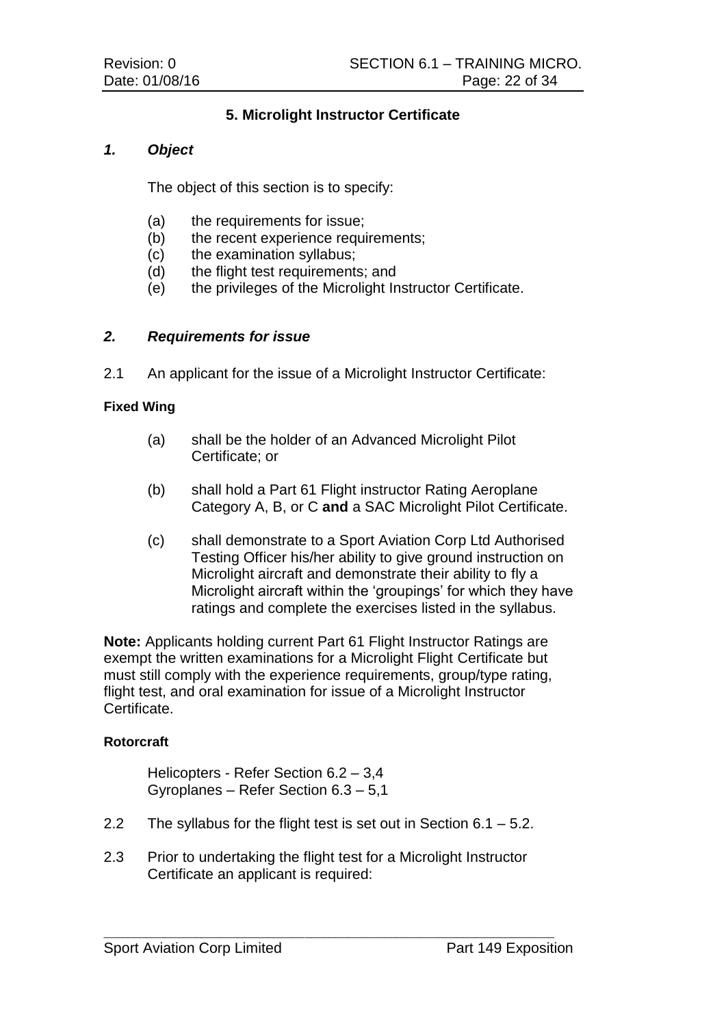# **5. Microlight Instructor Certificate**

# *1. Object*

The object of this section is to specify:

- (a) the requirements for issue;
- (b) the recent experience requirements;
- (c) the examination syllabus;
- (d) the flight test requirements; and
- (e) the privileges of the Microlight Instructor Certificate.

# *2. Requirements for issue*

2.1 An applicant for the issue of a Microlight Instructor Certificate:

#### **Fixed Wing**

- (a) shall be the holder of an Advanced Microlight Pilot Certificate; or
- (b) shall hold a Part 61 Flight instructor Rating Aeroplane Category A, B, or C **and** a SAC Microlight Pilot Certificate.
- (c) shall demonstrate to a Sport Aviation Corp Ltd Authorised Testing Officer his/her ability to give ground instruction on Microlight aircraft and demonstrate their ability to fly a Microlight aircraft within the 'groupings' for which they have ratings and complete the exercises listed in the syllabus.

**Note:** Applicants holding current Part 61 Flight Instructor Ratings are exempt the written examinations for a Microlight Flight Certificate but must still comply with the experience requirements, group/type rating, flight test, and oral examination for issue of a Microlight Instructor Certificate.

#### **Rotorcraft**

Helicopters - Refer Section 6.2 – 3,4 Gyroplanes – Refer Section 6.3 – 5,1

- 2.2 The syllabus for the flight test is set out in Section 6.1 5.2.
- 2.3 Prior to undertaking the flight test for a Microlight Instructor Certificate an applicant is required: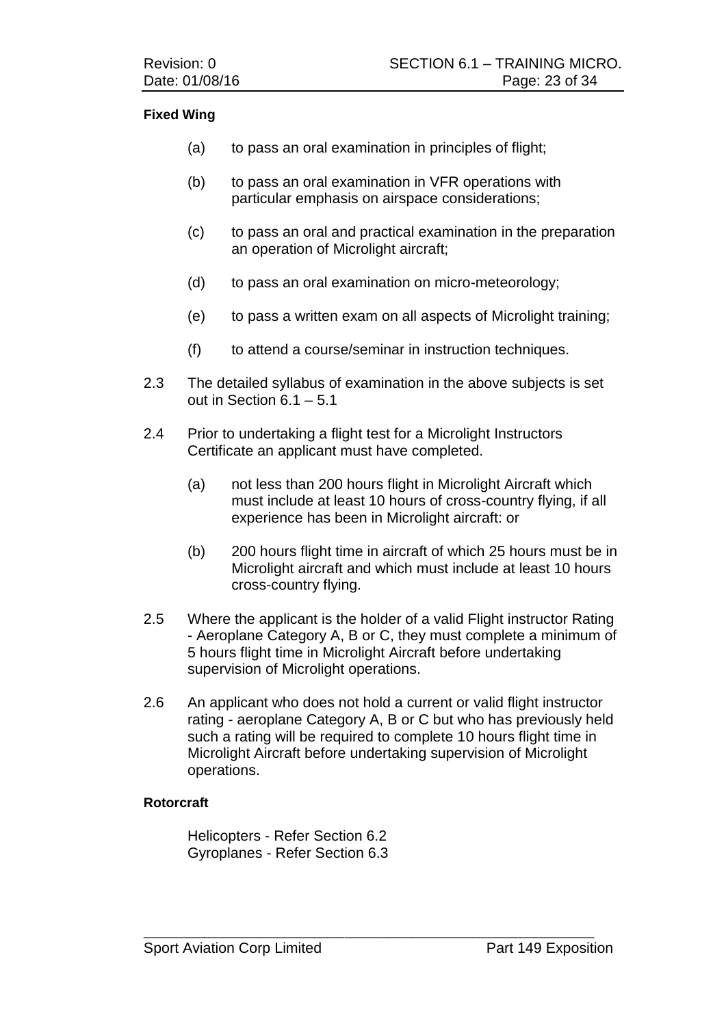#### **Fixed Wing**

- (a) to pass an oral examination in principles of flight;
- (b) to pass an oral examination in VFR operations with particular emphasis on airspace considerations;
- (c) to pass an oral and practical examination in the preparation an operation of Microlight aircraft;
- (d) to pass an oral examination on micro-meteorology;
- (e) to pass a written exam on all aspects of Microlight training;
- (f) to attend a course/seminar in instruction techniques.
- 2.3 The detailed syllabus of examination in the above subjects is set out in Section 6.1 – 5.1
- 2.4 Prior to undertaking a flight test for a Microlight Instructors Certificate an applicant must have completed.
	- (a) not less than 200 hours flight in Microlight Aircraft which must include at least 10 hours of cross-country flying, if all experience has been in Microlight aircraft: or
	- (b) 200 hours flight time in aircraft of which 25 hours must be in Microlight aircraft and which must include at least 10 hours cross-country flying.
- 2.5 Where the applicant is the holder of a valid Flight instructor Rating - Aeroplane Category A, B or C, they must complete a minimum of 5 hours flight time in Microlight Aircraft before undertaking supervision of Microlight operations.
- 2.6 An applicant who does not hold a current or valid flight instructor rating - aeroplane Category A, B or C but who has previously held such a rating will be required to complete 10 hours flight time in Microlight Aircraft before undertaking supervision of Microlight operations.

 $\_$  , and the set of the set of the set of the set of the set of the set of the set of the set of the set of the set of the set of the set of the set of the set of the set of the set of the set of the set of the set of th

#### **Rotorcraft**

Helicopters - Refer Section 6.2 Gyroplanes - Refer Section 6.3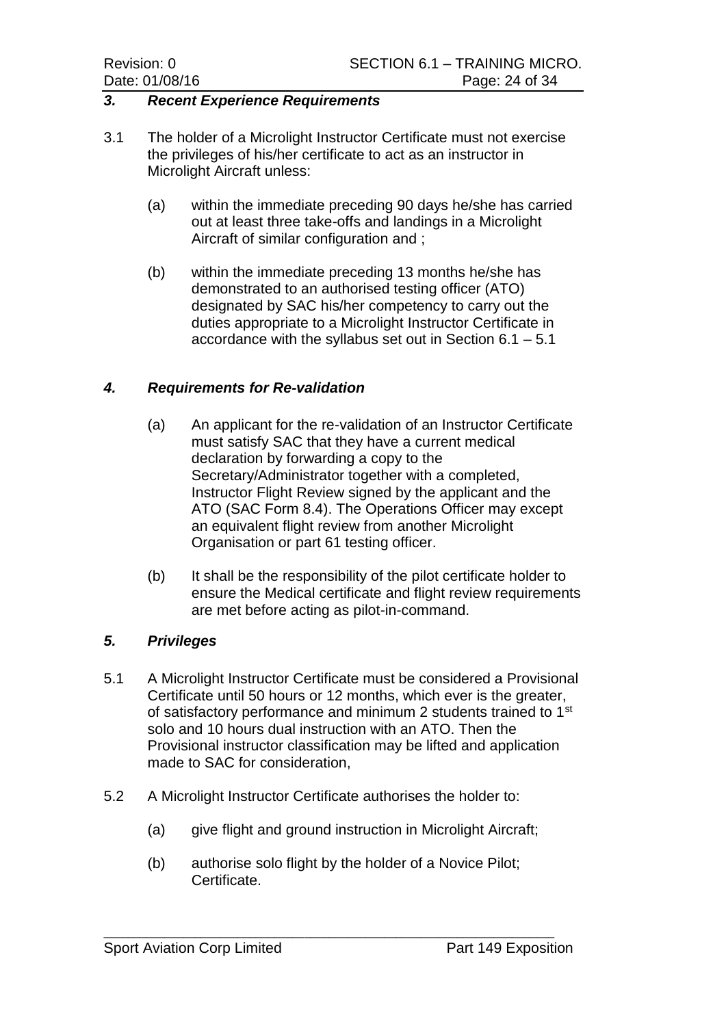#### *3. Recent Experience Requirements*

- 3.1 The holder of a Microlight Instructor Certificate must not exercise the privileges of his/her certificate to act as an instructor in Microlight Aircraft unless:
	- (a) within the immediate preceding 90 days he/she has carried out at least three take-offs and landings in a Microlight Aircraft of similar configuration and ;
	- (b) within the immediate preceding 13 months he/she has demonstrated to an authorised testing officer (ATO) designated by SAC his/her competency to carry out the duties appropriate to a Microlight Instructor Certificate in accordance with the syllabus set out in Section 6.1 – 5.1

#### *4. Requirements for Re-validation*

- (a) An applicant for the re-validation of an Instructor Certificate must satisfy SAC that they have a current medical declaration by forwarding a copy to the Secretary/Administrator together with a completed, Instructor Flight Review signed by the applicant and the ATO (SAC Form 8.4). The Operations Officer may except an equivalent flight review from another Microlight Organisation or part 61 testing officer.
- (b) It shall be the responsibility of the pilot certificate holder to ensure the Medical certificate and flight review requirements are met before acting as pilot-in-command.

#### *5. Privileges*

- 5.1 A Microlight Instructor Certificate must be considered a Provisional Certificate until 50 hours or 12 months, which ever is the greater, of satisfactory performance and minimum 2 students trained to 1<sup>st</sup> solo and 10 hours dual instruction with an ATO. Then the Provisional instructor classification may be lifted and application made to SAC for consideration,
- 5.2 A Microlight Instructor Certificate authorises the holder to:
	- (a) give flight and ground instruction in Microlight Aircraft;
	- (b) authorise solo flight by the holder of a Novice Pilot; Certificate.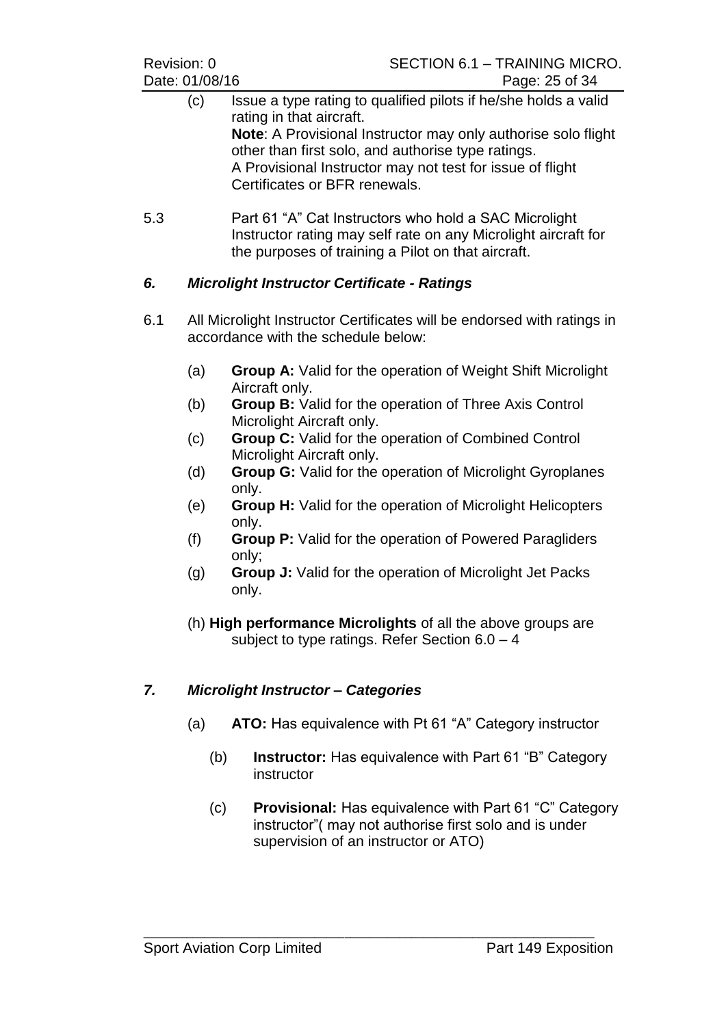- (c) Issue a type rating to qualified pilots if he/she holds a valid rating in that aircraft. **Note**: A Provisional Instructor may only authorise solo flight other than first solo, and authorise type ratings. A Provisional Instructor may not test for issue of flight Certificates or BFR renewals.
- 5.3 Part 61 "A" Cat Instructors who hold a SAC Microlight Instructor rating may self rate on any Microlight aircraft for the purposes of training a Pilot on that aircraft.

# *6. Microlight Instructor Certificate - Ratings*

- 6.1 All Microlight Instructor Certificates will be endorsed with ratings in accordance with the schedule below:
	- (a) **Group A:** Valid for the operation of Weight Shift Microlight Aircraft only.
	- (b) **Group B:** Valid for the operation of Three Axis Control Microlight Aircraft only.
	- (c) **Group C:** Valid for the operation of Combined Control Microlight Aircraft only.
	- (d) **Group G:** Valid for the operation of Microlight Gyroplanes only.
	- (e) **Group H:** Valid for the operation of Microlight Helicopters only.
	- (f) **Group P:** Valid for the operation of Powered Paragliders only;
	- (g) **Group J:** Valid for the operation of Microlight Jet Packs only.
	- (h) **High performance Microlights** of all the above groups are subject to type ratings. Refer Section  $6.0 - 4$

# *7. Microlight Instructor – Categories*

- (a) **ATO:** Has equivalence with Pt 61 "A" Category instructor
	- (b) **Instructor:** Has equivalence with Part 61 "B" Category instructor
	- (c) **Provisional:** Has equivalence with Part 61 "C" Category instructor"( may not authorise first solo and is under supervision of an instructor or ATO)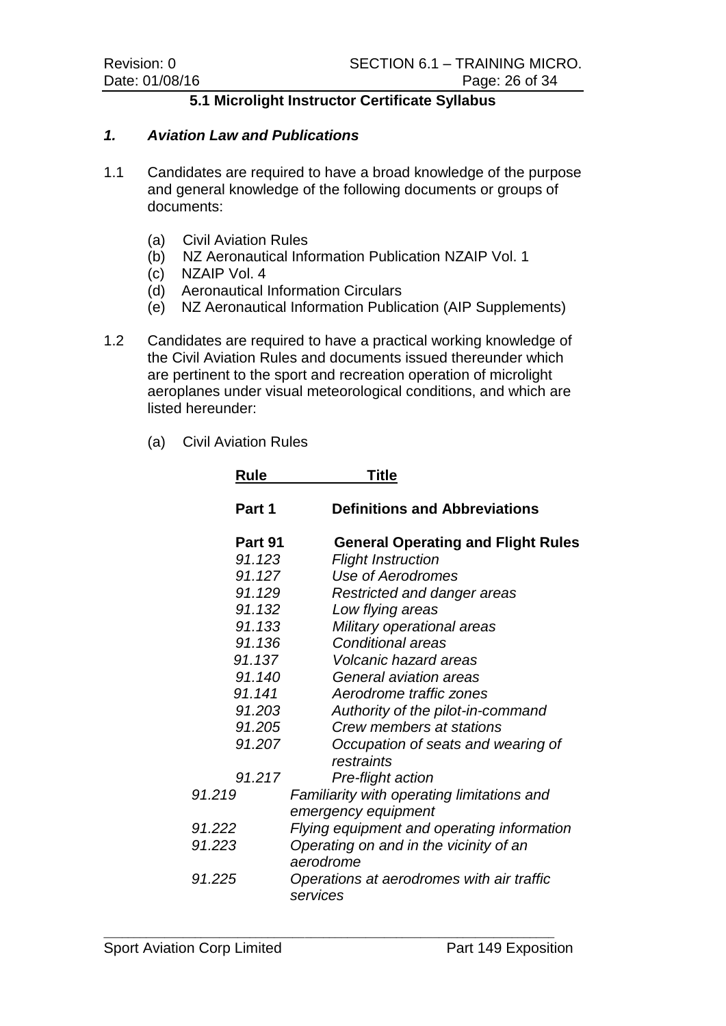# **5.1 Microlight Instructor Certificate Syllabus**

#### *1. Aviation Law and Publications*

- 1.1 Candidates are required to have a broad knowledge of the purpose and general knowledge of the following documents or groups of documents:
	- (a) Civil Aviation Rules
	- (b) NZ Aeronautical Information Publication NZAIP Vol. 1
	- (c) NZAIP Vol. 4
	- (d) Aeronautical Information Circulars
	- (e) NZ Aeronautical Information Publication (AIP Supplements)
- 1.2 Candidates are required to have a practical working knowledge of the Civil Aviation Rules and documents issued thereunder which are pertinent to the sport and recreation operation of microlight aeroplanes under visual meteorological conditions, and which are listed hereunder:
	- (a) Civil Aviation Rules

| <b>Rule</b> | Title                                                 |  |
|-------------|-------------------------------------------------------|--|
| Part 1      | <b>Definitions and Abbreviations</b>                  |  |
| Part 91     | <b>General Operating and Flight Rules</b>             |  |
| 91.123      | <b>Flight Instruction</b>                             |  |
| 91.127      | Use of Aerodromes                                     |  |
| 91.129      | Restricted and danger areas                           |  |
| 91.132      | Low flying areas                                      |  |
| 91.133      | Military operational areas                            |  |
| 91.136      | <b>Conditional areas</b>                              |  |
| 91.137      | Volcanic hazard areas                                 |  |
| 91.140      | General aviation areas                                |  |
| 91.141      | Aerodrome traffic zones                               |  |
| 91.203      | Authority of the pilot-in-command                     |  |
| 91.205      | Crew members at stations                              |  |
| 91.207      | Occupation of seats and wearing of<br>restraints      |  |
| 91.217      | Pre-flight action                                     |  |
| 91.219      | Familiarity with operating limitations and            |  |
|             | emergency equipment                                   |  |
| 91.222      | Flying equipment and operating information            |  |
| 91.223      | Operating on and in the vicinity of an<br>aerodrome   |  |
| 91.225      | Operations at aerodromes with air traffic<br>services |  |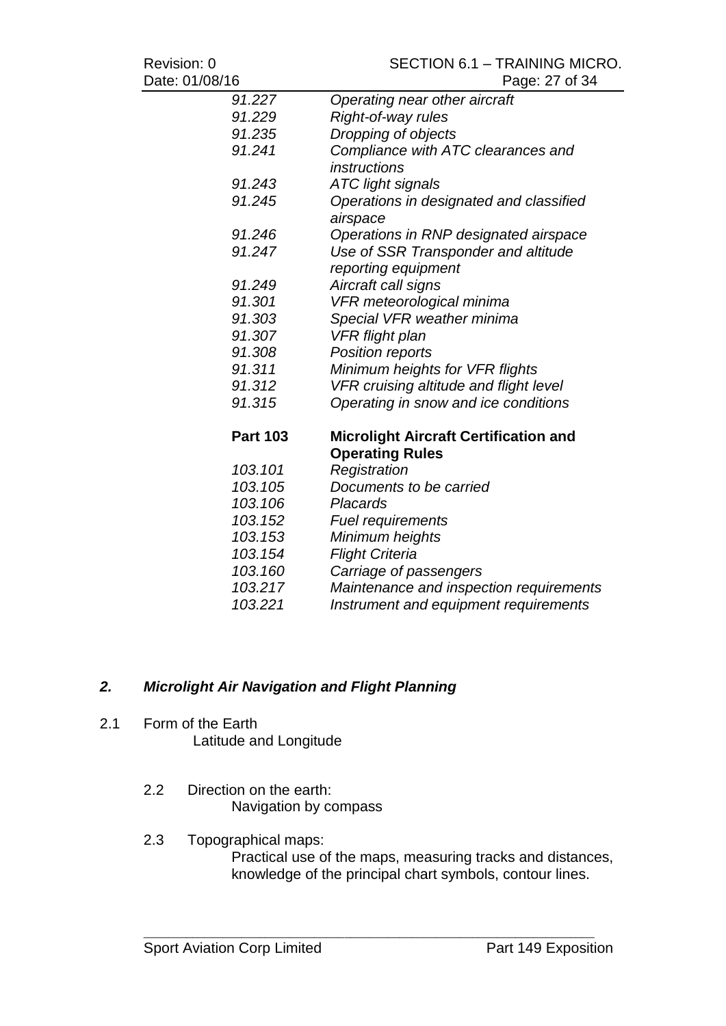| Revision: 0     | SECTION 6.1 - TRAINING MICRO.                       |
|-----------------|-----------------------------------------------------|
| Date: 01/08/16  | Page: 27 of 34                                      |
| 91.227          | Operating near other aircraft                       |
| 91.229          | Right-of-way rules                                  |
| 91.235          | Dropping of objects                                 |
| 91.241          | Compliance with ATC clearances and                  |
|                 | <i>instructions</i>                                 |
| 91.243          | <b>ATC light signals</b>                            |
| 91.245          | Operations in designated and classified<br>airspace |
| 91.246          | Operations in RNP designated airspace               |
| 91.247          | Use of SSR Transponder and altitude                 |
|                 | reporting equipment                                 |
| 91.249          | Aircraft call signs                                 |
| 91.301          | VFR meteorological minima                           |
| 91.303          | Special VFR weather minima                          |
| 91.307          | <b>VFR</b> flight plan                              |
| 91.308          | Position reports                                    |
| 91.311          | Minimum heights for VFR flights                     |
| 91.312          | VFR cruising altitude and flight level              |
| 91.315          | Operating in snow and ice conditions                |
| <b>Part 103</b> | <b>Microlight Aircraft Certification and</b>        |
|                 | <b>Operating Rules</b>                              |
| 103.101         | Registration                                        |
| 103.105         | Documents to be carried                             |
| 103.106         | Placards                                            |
| 103.152         | <b>Fuel requirements</b>                            |
| 103.153         | Minimum heights                                     |
| 103.154         | <b>Flight Criteria</b>                              |
| 103.160         | Carriage of passengers                              |
| 103.217         | Maintenance and inspection requirements             |
| 103.221         | Instrument and equipment requirements               |

# *2. Microlight Air Navigation and Flight Planning*

- 2.1 Form of the Earth Latitude and Longitude
	- 2.2 Direction on the earth: Navigation by compass
	- 2.3 Topographical maps:

Practical use of the maps, measuring tracks and distances, knowledge of the principal chart symbols, contour lines.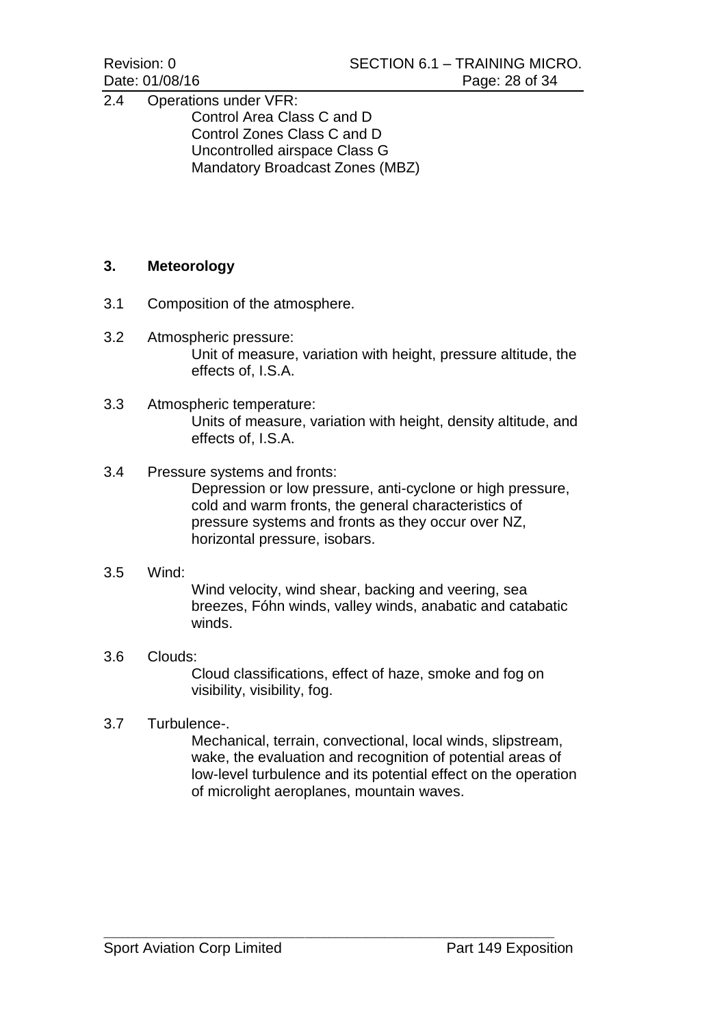2.4 Operations under VFR: Control Area Class C and D Control Zones Class C and D Uncontrolled airspace Class G Mandatory Broadcast Zones (MBZ)

# **3. Meteorology**

- 3.1 Composition of the atmosphere.
- 3.2 Atmospheric pressure: Unit of measure, variation with height, pressure altitude, the effects of, I.S.A.
- 3.3 Atmospheric temperature: Units of measure, variation with height, density altitude, and effects of, I.S.A.

#### 3.4 Pressure systems and fronts:

Depression or low pressure, anti-cyclone or high pressure, cold and warm fronts, the general characteristics of pressure systems and fronts as they occur over NZ, horizontal pressure, isobars.

#### 3.5 Wind:

Wind velocity, wind shear, backing and veering, sea breezes, Fóhn winds, valley winds, anabatic and catabatic winds.

# 3.6 Clouds:

Cloud classifications, effect of haze, smoke and fog on visibility, visibility, fog.

#### 3.7 Turbulence-.

Mechanical, terrain, convectional, local winds, slipstream, wake, the evaluation and recognition of potential areas of low-level turbulence and its potential effect on the operation of microlight aeroplanes, mountain waves.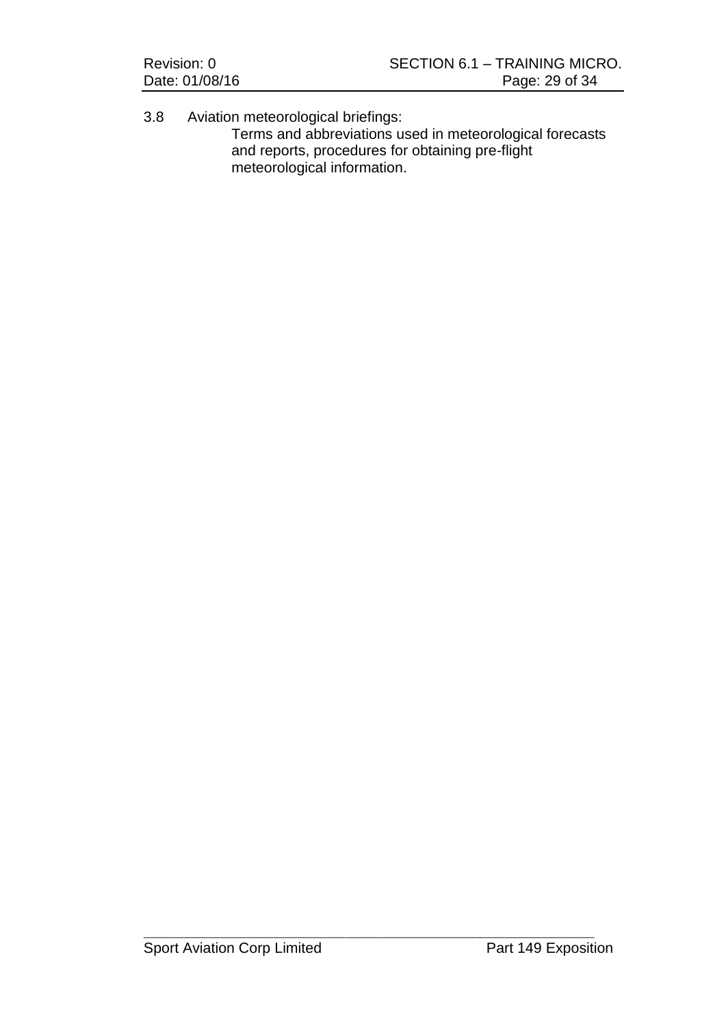| Revision: 0    | SECTION 6.1 - TRAINING MICRO. |
|----------------|-------------------------------|
| Date: 01/08/16 | Page: 29 of 34                |

3.8 Aviation meteorological briefings: Terms and abbreviations used in meteorological forecasts and reports, procedures for obtaining pre-flight meteorological information.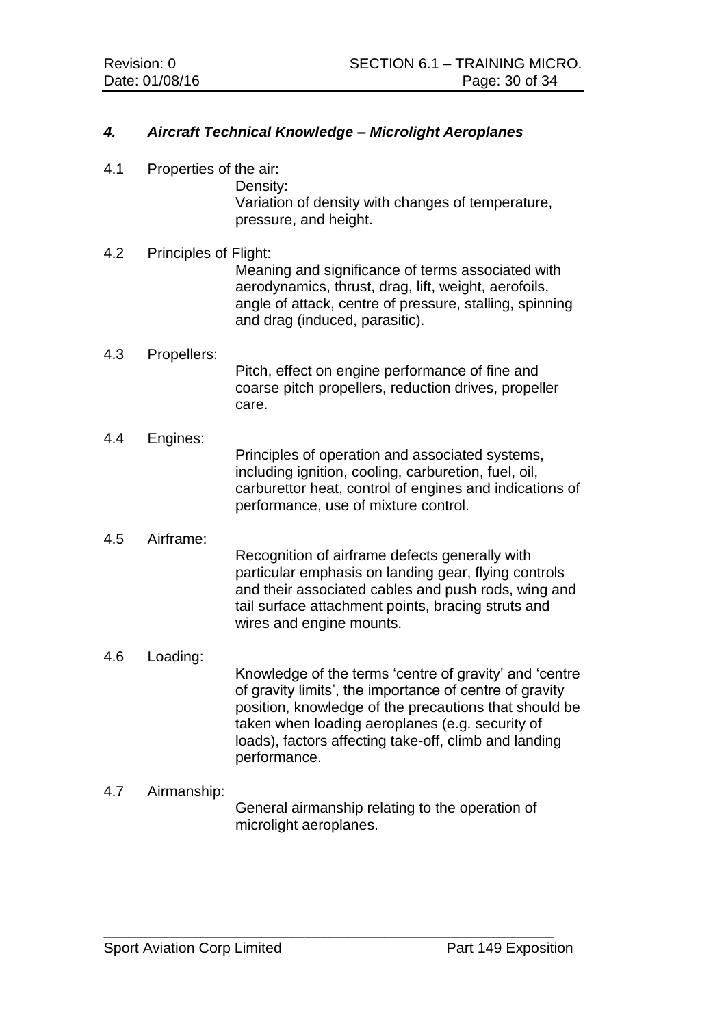# *4. Aircraft Technical Knowledge – Microlight Aeroplanes*

4.1 Properties of the air:

Density: Variation of density with changes of temperature, pressure, and height.

#### 4.2 Principles of Flight:

Meaning and significance of terms associated with aerodynamics, thrust, drag, lift, weight, aerofoils, angle of attack, centre of pressure, stalling, spinning and drag (induced, parasitic).

#### 4.3 Propellers:

Pitch, effect on engine performance of fine and coarse pitch propellers, reduction drives, propeller care.

#### 4.4 Engines:

Principles of operation and associated systems, including ignition, cooling, carburetion, fuel, oil, carburettor heat, control of engines and indications of performance, use of mixture control.

#### 4.5 Airframe:

Recognition of airframe defects generally with particular emphasis on landing gear, flying controls and their associated cables and push rods, wing and tail surface attachment points, bracing struts and wires and engine mounts.

4.6 Loading:

Knowledge of the terms 'centre of gravity' and 'centre of gravity limits', the importance of centre of gravity position, knowledge of the precautions that should be taken when loading aeroplanes (e.g. security of loads), factors affecting take-off, climb and landing performance.

#### 4.7 Airmanship:

General airmanship relating to the operation of microlight aeroplanes.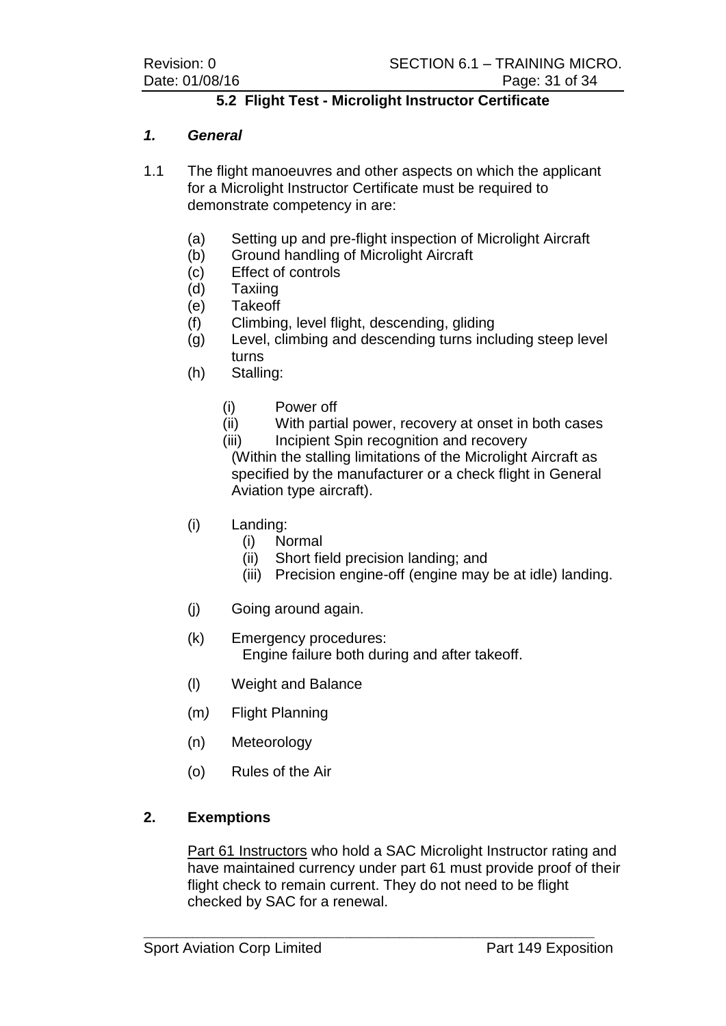# **5.2 Flight Test - Microlight Instructor Certificate**

# *1. General*

1.1 The flight manoeuvres and other aspects on which the applicant for a Microlight Instructor Certificate must be required to demonstrate competency in are:

- (a) Setting up and pre-flight inspection of Microlight Aircraft
- (b) Ground handling of Microlight Aircraft
- (c) Effect of controls
- (d) Taxiing
- (e) Takeoff
- (f) Climbing, level flight, descending, gliding
- (g) Level, climbing and descending turns including steep level turns
- (h) Stalling:
	- (i) Power off
	- (ii) With partial power, recovery at onset in both cases
	- (iii) Incipient Spin recognition and recovery

(Within the stalling limitations of the Microlight Aircraft as specified by the manufacturer or a check flight in General Aviation type aircraft).

- (i) Landing:
	- (i) Normal
	- (ii) Short field precision landing; and
	- (iii) Precision engine-off (engine may be at idle) landing.
- (j) Going around again.
- (k) Emergency procedures: Engine failure both during and after takeoff.
- (l) Weight and Balance
- (m*)* Flight Planning
- (n) Meteorology
- (o) Rules of the Air

#### **2. Exemptions**

Part 61 Instructors who hold a SAC Microlight Instructor rating and have maintained currency under part 61 must provide proof of their flight check to remain current. They do not need to be flight checked by SAC for a renewal.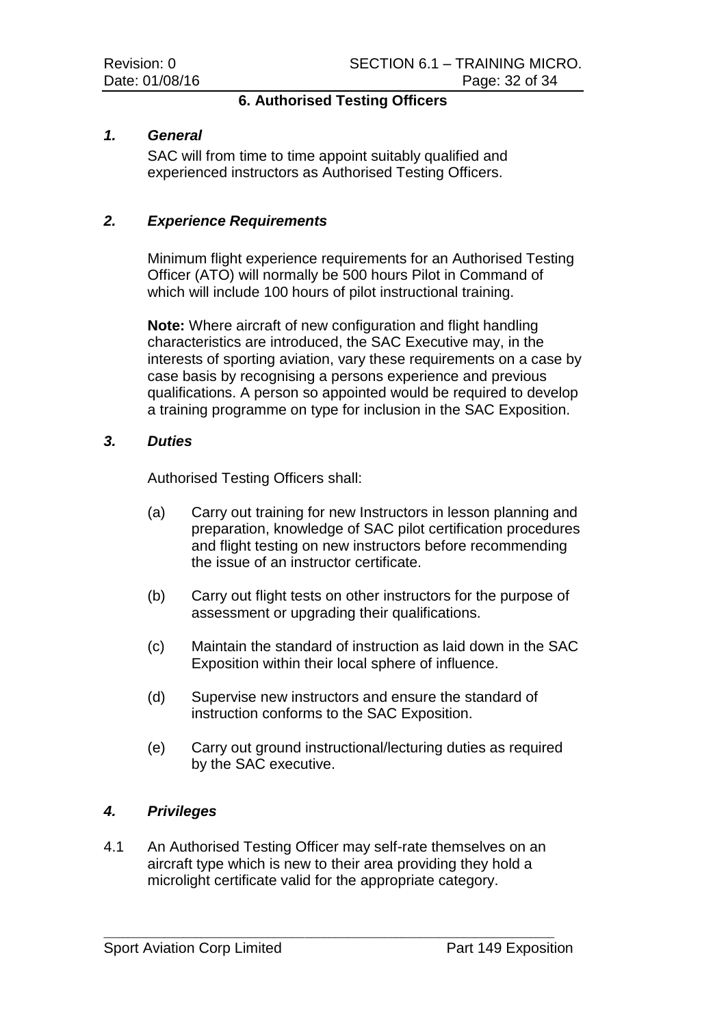# **6. Authorised Testing Officers**

#### *1. General*

SAC will from time to time appoint suitably qualified and experienced instructors as Authorised Testing Officers.

#### *2. Experience Requirements*

Minimum flight experience requirements for an Authorised Testing Officer (ATO) will normally be 500 hours Pilot in Command of which will include 100 hours of pilot instructional training.

**Note:** Where aircraft of new configuration and flight handling characteristics are introduced, the SAC Executive may, in the interests of sporting aviation, vary these requirements on a case by case basis by recognising a persons experience and previous qualifications. A person so appointed would be required to develop a training programme on type for inclusion in the SAC Exposition.

#### *3. Duties*

Authorised Testing Officers shall:

- (a) Carry out training for new Instructors in lesson planning and preparation, knowledge of SAC pilot certification procedures and flight testing on new instructors before recommending the issue of an instructor certificate.
- (b) Carry out flight tests on other instructors for the purpose of assessment or upgrading their qualifications.
- (c) Maintain the standard of instruction as laid down in the SAC Exposition within their local sphere of influence.
- (d) Supervise new instructors and ensure the standard of instruction conforms to the SAC Exposition.
- (e) Carry out ground instructional/lecturing duties as required by the SAC executive.

# *4. Privileges*

4.1 An Authorised Testing Officer may self-rate themselves on an aircraft type which is new to their area providing they hold a microlight certificate valid for the appropriate category.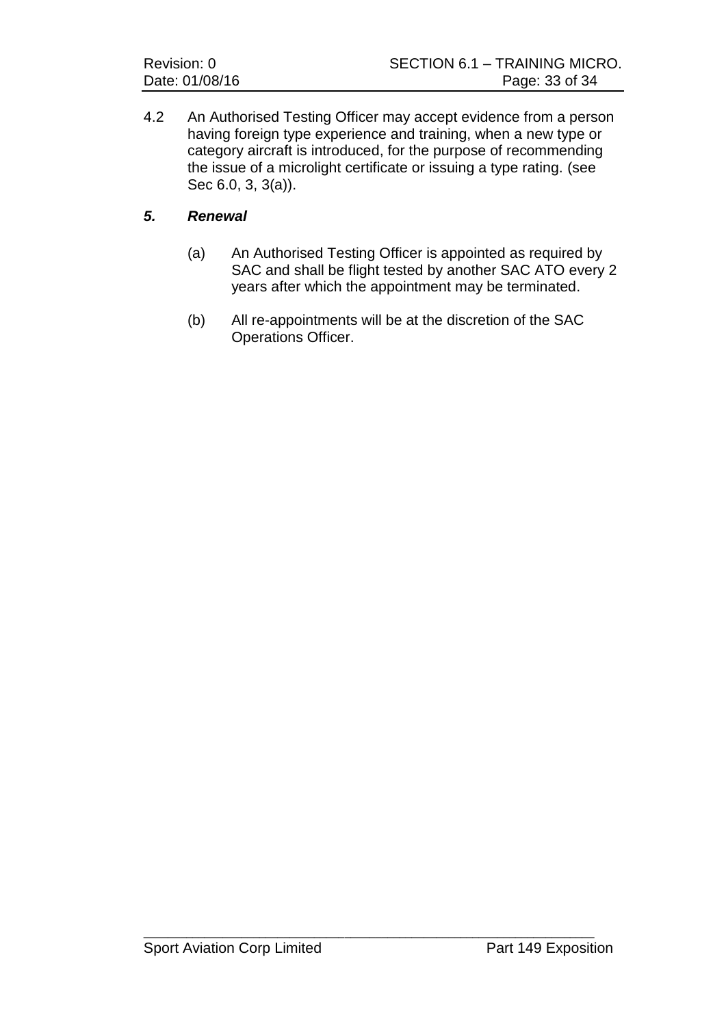| Revision: 0 |                |
|-------------|----------------|
|             | Date: 01/08/16 |

4.2 An Authorised Testing Officer may accept evidence from a person having foreign type experience and training, when a new type or category aircraft is introduced, for the purpose of recommending the issue of a microlight certificate or issuing a type rating. (see Sec 6.0, 3, 3(a)).

# *5. Renewal*

- (a) An Authorised Testing Officer is appointed as required by SAC and shall be flight tested by another SAC ATO every 2 years after which the appointment may be terminated.
- (b) All re-appointments will be at the discretion of the SAC Operations Officer.